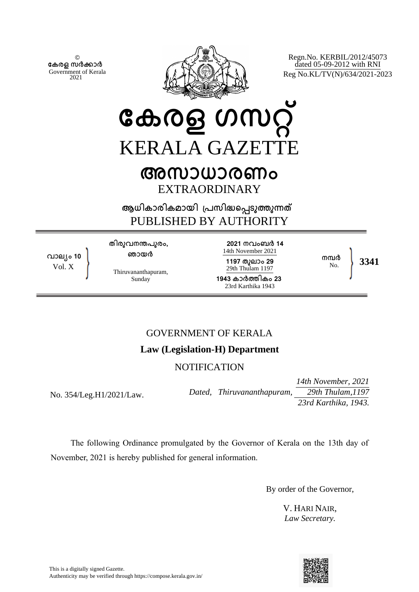© **േകരള സർകാർ** Government of Kerala 2021



Regn.No. KERBIL/2012/45073 dated 05-09-2012 with RNI Reg No.KL/TV(N)/634/2021-2023

# **േകരള ഗസറ്** KERALA GAZETTE **അസാധാരണം**

EXTRAORDINARY

**ആധികാരികമായി ്പസിദെപടുതുനത** PUBLISHED BY AUTHORITY

**വാല്ം 10** Vol. X

**തിരുവനനപുരം, ഞായർ**

Thiruvananthapuram, Sunday

**2021 നവംബർ 14** 14th November 2021 **1197 തുലാം 29** 29th Thulam 1197 **1943 കാർതികം 23** 23rd Karthika 1943

No. **3341**

**നമ്പ**ർ<br>No

# GOVERNMENT OF KERALA

# **Law (Legislation-H) Department**

# **NOTIFICATION**

No. 354/Leg.H1/2021/Law.

*14th November, 2021 Dated, Thiruvananthapuram, 29th Thulam,1197 23rd Karthika, 1943.* 

The following Ordinance promulgated by the Governor of Kerala on the 13th day of November, 2021 is hereby published for general information.

By order of the Governor,

V. HARI NAIR, *Law Secretary.*

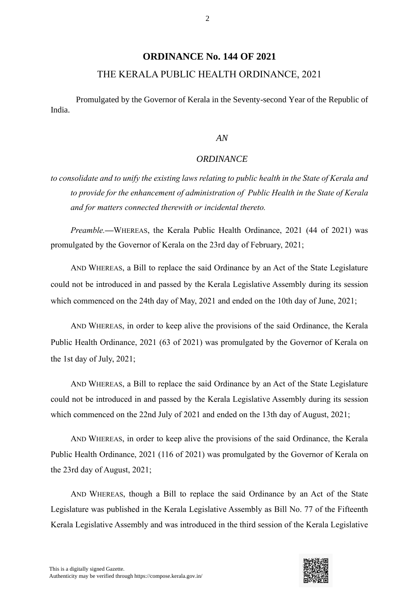# **ORDINANCE No. 144 OF 2021**

## THE KERALA PUBLIC HEALTH ORDINANCE, 2021

Promulgated by the Governor of Kerala in the Seventy-second Year of the Republic of India.

#### *AN*

#### *ORDINANCE*

*to consolidate and to unify the existing laws relating to public health in the State of Kerala and to provide for the enhancement of administration of Public Health in the State of Kerala and for matters connected therewith or incidental thereto.*

*Preamble.—*WHEREAS, the Kerala Public Health Ordinance, 2021 (44 of 2021) was promulgated by the Governor of Kerala on the 23rd day of February, 2021;

AND WHEREAS, a Bill to replace the said Ordinance by an Act of the State Legislature could not be introduced in and passed by the Kerala Legislative Assembly during its session which commenced on the 24th day of May, 2021 and ended on the 10th day of June, 2021;

AND WHEREAS, in order to keep alive the provisions of the said Ordinance, the Kerala Public Health Ordinance, 2021 (63 of 2021) was promulgated by the Governor of Kerala on the 1st day of July, 2021;

AND WHEREAS, a Bill to replace the said Ordinance by an Act of the State Legislature could not be introduced in and passed by the Kerala Legislative Assembly during its session which commenced on the 22nd July of 2021 and ended on the 13th day of August, 2021;

AND WHEREAS, in order to keep alive the provisions of the said Ordinance, the Kerala Public Health Ordinance, 2021 (116 of 2021) was promulgated by the Governor of Kerala on the 23rd day of August, 2021;

AND WHEREAS, though a Bill to replace the said Ordinance by an Act of the State Legislature was published in the Kerala Legislative Assembly as Bill No. 77 of the Fifteenth Kerala Legislative Assembly and was introduced in the third session of the Kerala Legislative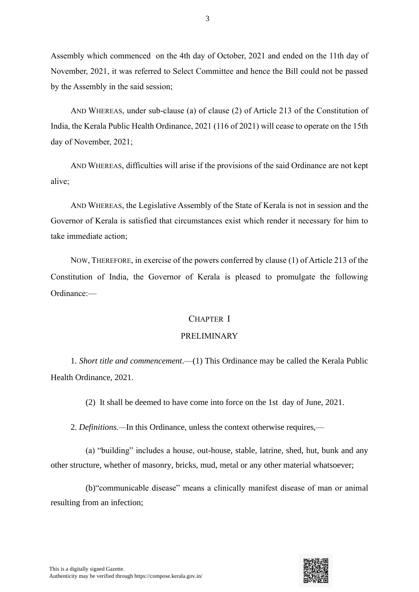Assembly which commenced on the 4th day of October, 2021 and ended on the 11th day of November, 2021, it was referred to Select Committee and hence the Bill could not be passed by the Assembly in the said session;

AND WHEREAS, under sub-clause (a) of clause (2) of Article 213 of the Constitution of India, the Kerala Public Health Ordinance, 2021 (116 of 2021) will cease to operate on the 15th day of November, 2021;

AND WHEREAS, difficulties will arise if the provisions of the said Ordinance are not kept alive;

AND WHEREAS, the Legislative Assembly of the State of Kerala is not in session and the Governor of Kerala is satisfied that circumstances exist which render it necessary for him to take immediate action;

NOW, THEREFORE, in exercise of the powers conferred by clause (1) of Article 213 of the Constitution of India, the Governor of Kerala is pleased to promulgate the following Ordinance:—

#### CHAPTER I

#### PRELIMINARY

1. *Short title and commencement*.—(1) This Ordinance may be called the Kerala Public Health Ordinance, 2021.

(2) It shall be deemed to have come into force on the 1st day of June, 2021.

2. *Definitions.—*In this Ordinance, unless the context otherwise requires,—

(a) "building" includes a house, out-house, stable, latrine, shed, hut, bunk and any other structure, whether of masonry, bricks, mud, metal or any other material whatsoever;

(b)"communicable disease" means a clinically manifest disease of man or animal resulting from an infection;

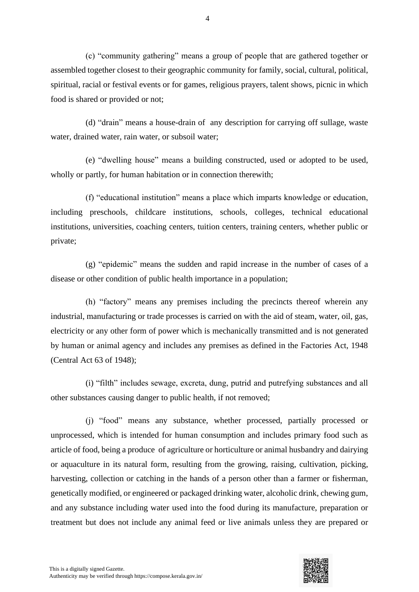(c) "community gathering" means a group of people that are gathered together or assembled together closest to their geographic community for family, social, cultural, political, spiritual, racial or festival events or for games, religious prayers, talent shows, picnic in which food is shared or provided or not;

(d) "drain" means a house-drain of any description for carrying off sullage, waste water, drained water, rain water, or subsoil water;

(e) "dwelling house" means a building constructed, used or adopted to be used, wholly or partly, for human habitation or in connection therewith;

(f) "educational institution" means a place which imparts knowledge or education, including preschools, childcare institutions, schools, colleges, technical educational institutions, universities, coaching centers, tuition centers, training centers, whether public or private;

(g) "epidemic" means the sudden and rapid increase in the number of cases of a disease or other condition of public health importance in a population;

(h) "factory" means any premises including the precincts thereof wherein any industrial, manufacturing or trade processes is carried on with the aid of steam, water, oil, gas, electricity or any other form of power which is mechanically transmitted and is not generated by human or animal agency and includes any premises as defined in the Factories Act, 1948 (Central Act 63 of 1948);

(i) "filth" includes sewage, excreta, dung, putrid and putrefying substances and all other substances causing danger to public health, if not removed;

(j) "food" means any substance, whether processed, partially processed or unprocessed, which is intended for human consumption and includes primary food such as article of food, being a produce of agriculture or horticulture or animal husbandry and dairying or aquaculture in its natural form, resulting from the growing, raising, cultivation, picking, harvesting, collection or catching in the hands of a person other than a farmer or fisherman, genetically modified, or engineered or packaged drinking water, alcoholic drink, chewing gum, and any substance including water used into the food during its manufacture, preparation or treatment but does not include any animal feed or live animals unless they are prepared or



4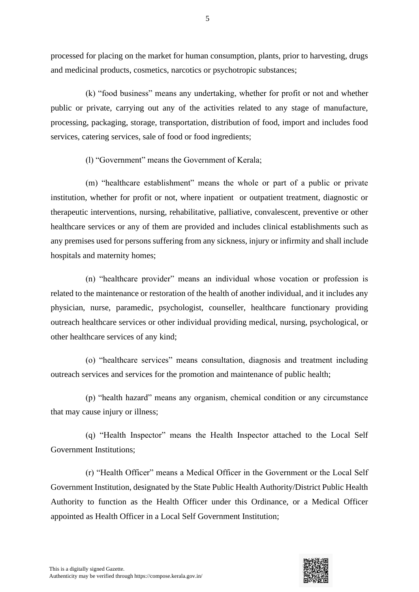processed for placing on the market for human consumption, plants, prior to harvesting, drugs and medicinal products, cosmetics, narcotics or psychotropic substances;

(k) "food business" means any undertaking, whether for profit or not and whether public or private, carrying out any of the activities related to any stage of manufacture, processing, packaging, storage, transportation, distribution of food, import and includes food services, catering services, sale of food or food ingredients;

(l) "Government" means the Government of Kerala;

(m) "healthcare establishment" means the whole or part of a public or private institution, whether for profit or not, where inpatient or outpatient treatment, diagnostic or therapeutic interventions, nursing, rehabilitative, palliative, convalescent, preventive or other healthcare services or any of them are provided and includes clinical establishments such as any premises used for persons suffering from any sickness, injury or infirmity and shall include hospitals and maternity homes;

(n) "healthcare provider" means an individual whose vocation or profession is related to the maintenance or restoration of the health of another individual, and it includes any physician, nurse, paramedic, psychologist, counseller, healthcare functionary providing outreach healthcare services or other individual providing medical, nursing, psychological, or other healthcare services of any kind;

(o) "healthcare services" means consultation, diagnosis and treatment including outreach services and services for the promotion and maintenance of public health;

(p) "health hazard" means any organism, chemical condition or any circumstance that may cause injury or illness;

(q) "Health Inspector" means the Health Inspector attached to the Local Self Government Institutions;

(r) "Health Officer" means a Medical Officer in the Government or the Local Self Government Institution, designated by the State Public Health Authority/District Public Health Authority to function as the Health Officer under this Ordinance, or a Medical Officer appointed as Health Officer in a Local Self Government Institution;

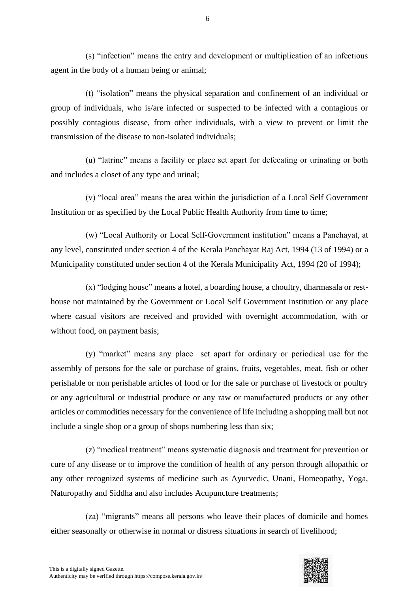(s) "infection" means the entry and development or multiplication of an infectious agent in the body of a human being or animal;

(t) "isolation" means the physical separation and confinement of an individual or group of individuals, who is/are infected or suspected to be infected with a contagious or possibly contagious disease, from other individuals, with a view to prevent or limit the transmission of the disease to non-isolated individuals;

(u) "latrine" means a facility or place set apart for defecating or urinating or both and includes a closet of any type and urinal;

(v) "local area" means the area within the jurisdiction of a Local Self Government Institution or as specified by the Local Public Health Authority from time to time;

(w) "Local Authority or Local Self-Government institution" means a Panchayat, at any level, constituted under section 4 of the Kerala Panchayat Raj Act, 1994 (13 of 1994) or a Municipality constituted under section 4 of the Kerala Municipality Act, 1994 (20 of 1994);

(x) "lodging house" means a hotel, a boarding house, a choultry, dharmasala or resthouse not maintained by the Government or Local Self Government Institution or any place where casual visitors are received and provided with overnight accommodation, with or without food, on payment basis;

(y) "market" means any place set apart for ordinary or periodical use for the assembly of persons for the sale or purchase of grains, fruits, vegetables, meat, fish or other perishable or non perishable articles of food or for the sale or purchase of livestock or poultry or any agricultural or industrial produce or any raw or manufactured products or any other articles or commodities necessary for the convenience of life including a shopping mall but not include a single shop or a group of shops numbering less than six;

(z) "medical treatment" means systematic diagnosis and treatment for prevention or cure of any disease or to improve the condition of health of any person through allopathic or any other recognized systems of medicine such as Ayurvedic, Unani, Homeopathy, Yoga, Naturopathy and Siddha and also includes Acupuncture treatments;

(za) "migrants" means all persons who leave their places of domicile and homes either seasonally or otherwise in normal or distress situations in search of livelihood;

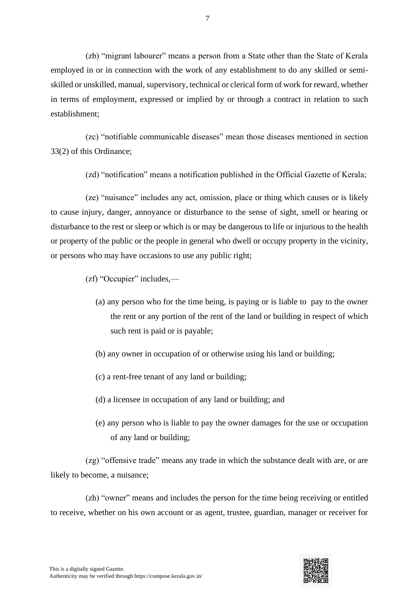(zb) "migrant labourer" means a person from a State other than the State of Kerala employed in or in connection with the work of any establishment to do any skilled or semiskilled or unskilled, manual, supervisory, technical or clerical form of work for reward, whether in terms of employment, expressed or implied by or through a contract in relation to such establishment;

(zc) "notifiable communicable diseases" mean those diseases mentioned in section 33(2) of this Ordinance;

(zd) "notification" means a notification published in the Official Gazette of Kerala;

(ze) "nuisance" includes any act, omission, place or thing which causes or is likely to cause injury, danger, annoyance or disturbance to the sense of sight, smell or hearing or disturbance to the rest or sleep or which is or may be dangerous to life or injurious to the health or property of the public or the people in general who dwell or occupy property in the vicinity, or persons who may have occasions to use any public right;

(zf) "Occupier" includes,—

- (a) any person who for the time being, is paying or is liable to pay to the owner the rent or any portion of the rent of the land or building in respect of which such rent is paid or is payable;
- (b) any owner in occupation of or otherwise using his land or building;
- (c) a rent-free tenant of any land or building;
- (d) a licensee in occupation of any land or building; and
- (e) any person who is liable to pay the owner damages for the use or occupation of any land or building;

(zg) "offensive trade" means any trade in which the substance dealt with are, or are likely to become, a nuisance;

(zh) "owner" means and includes the person for the time being receiving or entitled to receive, whether on his own account or as agent, trustee, guardian, manager or receiver for

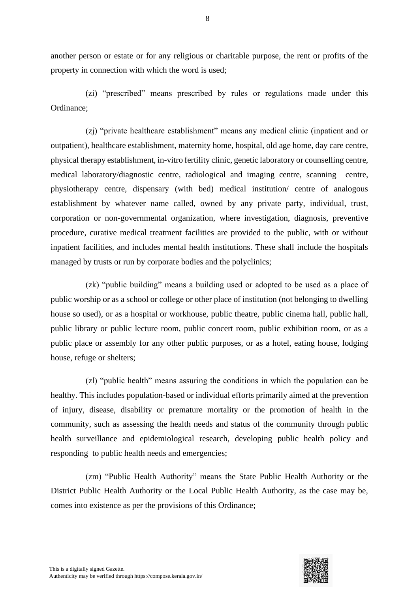another person or estate or for any religious or charitable purpose, the rent or profits of the property in connection with which the word is used;

(zi) "prescribed" means prescribed by rules or regulations made under this Ordinance;

(zj) "private healthcare establishment" means any medical clinic (inpatient and or outpatient), healthcare establishment, maternity home, hospital, old age home, day care centre, physical therapy establishment, in-vitro fertility clinic, genetic laboratory or counselling centre, medical laboratory/diagnostic centre, radiological and imaging centre, scanning centre, physiotherapy centre, dispensary (with bed) medical institution/ centre of analogous establishment by whatever name called, owned by any private party, individual, trust, corporation or non-governmental organization, where investigation, diagnosis, preventive procedure, curative medical treatment facilities are provided to the public, with or without inpatient facilities, and includes mental health institutions. These shall include the hospitals managed by trusts or run by corporate bodies and the polyclinics;

(zk) "public building" means a building used or adopted to be used as a place of public worship or as a school or college or other place of institution (not belonging to dwelling house so used), or as a hospital or workhouse, public theatre, public cinema hall, public hall, public library or public lecture room, public concert room, public exhibition room, or as a public place or assembly for any other public purposes, or as a hotel, eating house, lodging house, refuge or shelters;

(zl) "public health" means assuring the conditions in which the population can be healthy. This includes population-based or individual efforts primarily aimed at the prevention of injury, disease, disability or premature mortality or the promotion of health in the community, such as assessing the health needs and status of the community through public health surveillance and epidemiological research, developing public health policy and responding to public health needs and emergencies;

(zm) "Public Health Authority" means the State Public Health Authority or the District Public Health Authority or the Local Public Health Authority, as the case may be, comes into existence as per the provisions of this Ordinance;

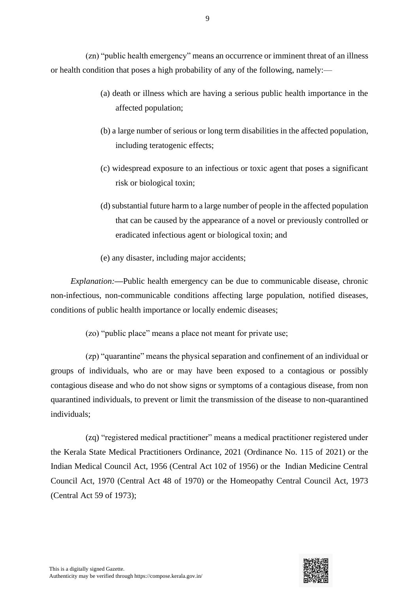(zn) "public health emergency" means an occurrence or imminent threat of an illness or health condition that poses a high probability of any of the following, namely:—

- (a) death or illness which are having a serious public health importance in the affected population;
- (b) a large number of serious or long term disabilities in the affected population, including teratogenic effects;
- (c) widespread exposure to an infectious or toxic agent that poses a significant risk or biological toxin;
- (d) substantial future harm to a large number of people in the affected population that can be caused by the appearance of a novel or previously controlled or eradicated infectious agent or biological toxin; and
- (e) any disaster, including major accidents;

*Explanation:—*Public health emergency can be due to communicable disease, chronic non-infectious, non-communicable conditions affecting large population, notified diseases, conditions of public health importance or locally endemic diseases;

(zo) "public place" means a place not meant for private use;

(zp) "quarantine" means the physical separation and confinement of an individual or groups of individuals, who are or may have been exposed to a contagious or possibly contagious disease and who do not show signs or symptoms of a contagious disease, from non quarantined individuals, to prevent or limit the transmission of the disease to non-quarantined individuals;

(zq) "registered medical practitioner" means a medical practitioner registered under the Kerala State Medical Practitioners Ordinance, 2021 (Ordinance No. 115 of 2021) or the Indian Medical Council Act, 1956 (Central Act 102 of 1956) or the Indian Medicine Central Council Act, 1970 (Central Act 48 of 1970) or the Homeopathy Central Council Act, 1973 (Central Act 59 of 1973);

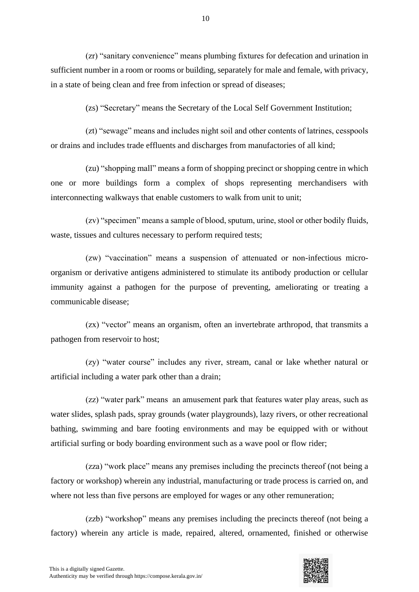(zr) "sanitary convenience" means plumbing fixtures for defecation and urination in sufficient number in a room or rooms or building, separately for male and female, with privacy, in a state of being clean and free from infection or spread of diseases;

(zs) "Secretary" means the Secretary of the Local Self Government Institution;

(zt) "sewage" means and includes night soil and other contents of latrines, cesspools or drains and includes trade effluents and discharges from manufactories of all kind;

(zu) "shopping mall" means a form of shopping precinct or shopping centre in which one or more buildings form a complex of shops representing merchandisers with interconnecting walkways that enable customers to walk from unit to unit;

(zv) "specimen" means a sample of blood, sputum, urine, stool or other bodily fluids, waste, tissues and cultures necessary to perform required tests;

(zw) "vaccination" means a suspension of attenuated or non-infectious microorganism or derivative antigens administered to stimulate its antibody production or cellular immunity against a pathogen for the purpose of preventing, ameliorating or treating a communicable disease;

(zx) "vector" means an organism, often an invertebrate arthropod, that transmits a pathogen from reservoir to host;

(zy) "water course" includes any river, stream, canal or lake whether natural or artificial including a water park other than a drain;

(zz) "water park" means an amusement park that features water play areas, such as water slides, splash pads, spray grounds (water playgrounds), lazy rivers, or other recreational bathing, swimming and bare footing environments and may be equipped with or without artificial surfing or body boarding environment such as a wave pool or flow rider;

(zza) "work place" means any premises including the precincts thereof (not being a factory or workshop) wherein any industrial, manufacturing or trade process is carried on, and where not less than five persons are employed for wages or any other remuneration;

(zzb) "workshop" means any premises including the precincts thereof (not being a factory) wherein any article is made, repaired, altered, ornamented, finished or otherwise

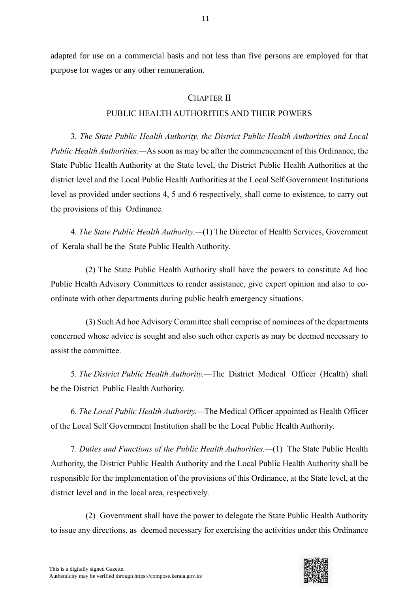adapted for use on a commercial basis and not less than five persons are employed for that purpose for wages or any other remuneration.

# CHAPTER II

## PUBLIC HEALTH AUTHORITIES AND THEIR POWERS

3. *The State Public Health Authority, the District Public Health Authorities and Local Public Health Authorities.—*As soon as may be after the commencement of this Ordinance, the State Public Health Authority at the State level, the District Public Health Authorities at the district level and the Local Public Health Authorities at the Local Self Government Institutions level as provided under sections 4, 5 and 6 respectively, shall come to existence, to carry out the provisions of this Ordinance.

4. *The State Public Health Authority.—*(1) The Director of Health Services, Government of Kerala shall be the State Public Health Authority.

(2) The State Public Health Authority shall have the powers to constitute Ad hoc Public Health Advisory Committees to render assistance, give expert opinion and also to coordinate with other departments during public health emergency situations.

(3) Such Ad hoc Advisory Committee shall comprise of nominees of the departments concerned whose advice is sought and also such other experts as may be deemed necessary to assist the committee.

5. *The District Public Health Authority.—*The District Medical Officer (Health) shall be the District Public Health Authority.

6. *The Local Public Health Authority.—*The Medical Officer appointed as Health Officer of the Local Self Government Institution shall be the Local Public Health Authority.

7. *Duties and Functions of the Public Health Authorities.—*(1) The State Public Health Authority, the District Public Health Authority and the Local Public Health Authority shall be responsible for the implementation of the provisions of this Ordinance, at the State level, at the district level and in the local area, respectively.

(2) Government shall have the power to delegate the State Public Health Authority to issue any directions, as deemed necessary for exercising the activities under this Ordinance

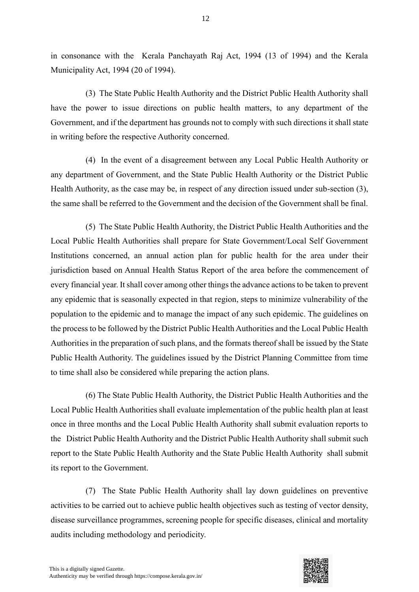in consonance with the Kerala Panchayath Raj Act, 1994 (13 of 1994) and the Kerala Municipality Act, 1994 (20 of 1994).

(3) The State Public Health Authority and the District Public Health Authority shall have the power to issue directions on public health matters, to any department of the Government, and if the department has grounds not to comply with such directions it shall state in writing before the respective Authority concerned.

(4) In the event of a disagreement between any Local Public Health Authority or any department of Government, and the State Public Health Authority or the District Public Health Authority, as the case may be, in respect of any direction issued under sub-section (3), the same shall be referred to the Government and the decision of the Government shall be final.

(5) The State Public Health Authority, the District Public Health Authorities and the Local Public Health Authorities shall prepare for State Government/Local Self Government Institutions concerned, an annual action plan for public health for the area under their jurisdiction based on Annual Health Status Report of the area before the commencement of every financial year. It shall cover among other things the advance actions to be taken to prevent any epidemic that is seasonally expected in that region, steps to minimize vulnerability of the population to the epidemic and to manage the impact of any such epidemic. The guidelines on the process to be followed by the District Public Health Authorities and the Local Public Health Authorities in the preparation of such plans, and the formats thereof shall be issued by the State Public Health Authority. The guidelines issued by the District Planning Committee from time to time shall also be considered while preparing the action plans.

(6) The State Public Health Authority, the District Public Health Authorities and the Local Public Health Authorities shall evaluate implementation of the public health plan at least once in three months and the Local Public Health Authority shall submit evaluation reports to the District Public Health Authority and the District Public Health Authority shall submit such report to the State Public Health Authority and the State Public Health Authority shall submit its report to the Government.

(7) The State Public Health Authority shall lay down guidelines on preventive activities to be carried out to achieve public health objectives such as testing of vector density, disease surveillance programmes, screening people for specific diseases, clinical and mortality audits including methodology and periodicity.

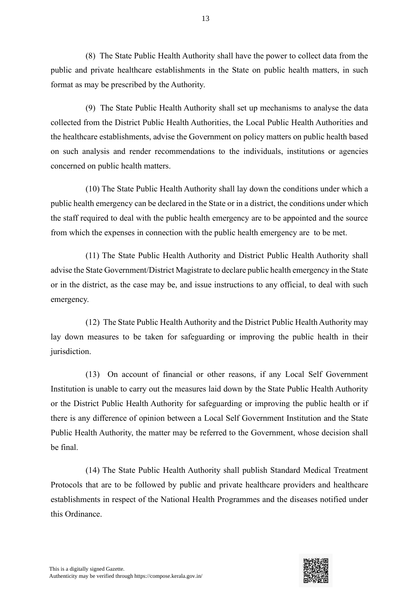(8) The State Public Health Authority shall have the power to collect data from the public and private healthcare establishments in the State on public health matters, in such format as may be prescribed by the Authority.

(9) The State Public Health Authority shall set up mechanisms to analyse the data collected from the District Public Health Authorities, the Local Public Health Authorities and the healthcare establishments, advise the Government on policy matters on public health based on such analysis and render recommendations to the individuals, institutions or agencies concerned on public health matters.

(10) The State Public Health Authority shall lay down the conditions under which a public health emergency can be declared in the State or in a district, the conditions under which the staff required to deal with the public health emergency are to be appointed and the source from which the expenses in connection with the public health emergency are to be met.

(11) The State Public Health Authority and District Public Health Authority shall advise the State Government/District Magistrate to declare public health emergency in the State or in the district, as the case may be, and issue instructions to any official, to deal with such emergency.

(12) The State Public Health Authority and the District Public Health Authority may lay down measures to be taken for safeguarding or improving the public health in their jurisdiction.

(13) On account of financial or other reasons, if any Local Self Government Institution is unable to carry out the measures laid down by the State Public Health Authority or the District Public Health Authority for safeguarding or improving the public health or if there is any difference of opinion between a Local Self Government Institution and the State Public Health Authority, the matter may be referred to the Government, whose decision shall be final.

(14) The State Public Health Authority shall publish Standard Medical Treatment Protocols that are to be followed by public and private healthcare providers and healthcare establishments in respect of the National Health Programmes and the diseases notified under this Ordinance.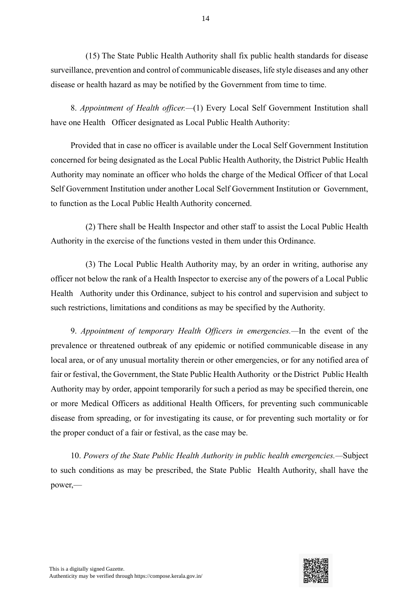(15) The State Public Health Authority shall fix public health standards for disease surveillance, prevention and control of communicable diseases, life style diseases and any other disease or health hazard as may be notified by the Government from time to time.

8. *Appointment of Health officer.—*(1) Every Local Self Government Institution shall have one Health Officer designated as Local Public Health Authority:

Provided that in case no officer is available under the Local Self Government Institution concerned for being designated as the Local Public Health Authority, the District Public Health Authority may nominate an officer who holds the charge of the Medical Officer of that Local Self Government Institution under another Local Self Government Institution or Government, to function as the Local Public Health Authority concerned.

(2) There shall be Health Inspector and other staff to assist the Local Public Health Authority in the exercise of the functions vested in them under this Ordinance.

(3) The Local Public Health Authority may, by an order in writing, authorise any officer not below the rank of a Health Inspector to exercise any of the powers of a Local Public Health Authority under this Ordinance, subject to his control and supervision and subject to such restrictions, limitations and conditions as may be specified by the Authority.

9. *Appointment of temporary Health Officers in emergencies.—*In the event of the prevalence or threatened outbreak of any epidemic or notified communicable disease in any local area, or of any unusual mortality therein or other emergencies, or for any notified area of fair or festival, the Government, the State Public Health Authority or the District Public Health Authority may by order, appoint temporarily for such a period as may be specified therein, one or more Medical Officers as additional Health Officers, for preventing such communicable disease from spreading, or for investigating its cause, or for preventing such mortality or for the proper conduct of a fair or festival, as the case may be.

10. *Powers of the State Public Health Authority in public health emergencies.—*Subject to such conditions as may be prescribed, the State Public Health Authority, shall have the power,—

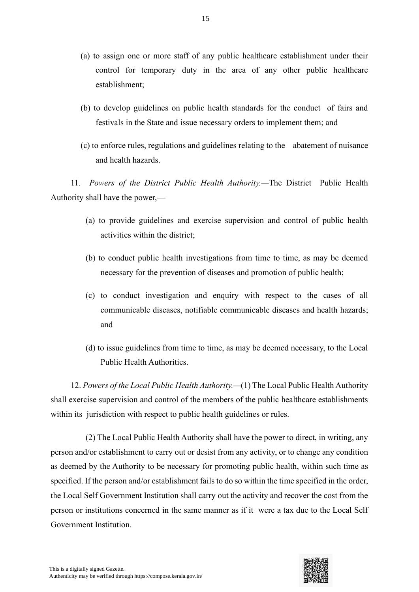- (a) to assign one or more staff of any public healthcare establishment under their control for temporary duty in the area of any other public healthcare establishment;
- (b) to develop guidelines on public health standards for the conduct of fairs and festivals in the State and issue necessary orders to implement them; and
- (c) to enforce rules, regulations and guidelines relating to the abatement of nuisance and health hazards.

11. *Powers of the District Public Health Authority.—*The District Public Health Authority shall have the power,—

- (a) to provide guidelines and exercise supervision and control of public health activities within the district;
- (b) to conduct public health investigations from time to time, as may be deemed necessary for the prevention of diseases and promotion of public health;
- (c) to conduct investigation and enquiry with respect to the cases of all communicable diseases, notifiable communicable diseases and health hazards; and
- (d) to issue guidelines from time to time, as may be deemed necessary, to the Local Public Health Authorities.

12. *Powers of the Local Public Health Authority.—*(1) The Local Public Health Authority shall exercise supervision and control of the members of the public healthcare establishments within its jurisdiction with respect to public health guidelines or rules.

(2) The Local Public Health Authority shall have the power to direct, in writing, any person and/or establishment to carry out or desist from any activity, or to change any condition as deemed by the Authority to be necessary for promoting public health, within such time as specified. If the person and/or establishment fails to do so within the time specified in the order, the Local Self Government Institution shall carry out the activity and recover the cost from the person or institutions concerned in the same manner as if it were a tax due to the Local Self Government Institution.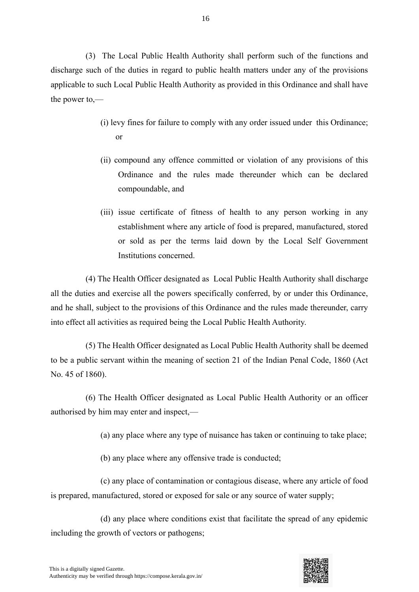(3) The Local Public Health Authority shall perform such of the functions and discharge such of the duties in regard to public health matters under any of the provisions applicable to such Local Public Health Authority as provided in this Ordinance and shall have the power to,—

- (i) levy fines for failure to comply with any order issued under this Ordinance; or
- (ii) compound any offence committed or violation of any provisions of this Ordinance and the rules made thereunder which can be declared compoundable, and
- (iii) issue certificate of fitness of health to any person working in any establishment where any article of food is prepared, manufactured, stored or sold as per the terms laid down by the Local Self Government Institutions concerned.

(4) The Health Officer designated as Local Public Health Authority shall discharge all the duties and exercise all the powers specifically conferred, by or under this Ordinance, and he shall, subject to the provisions of this Ordinance and the rules made thereunder, carry into effect all activities as required being the Local Public Health Authority.

(5) The Health Officer designated as Local Public Health Authority shall be deemed to be a public servant within the meaning of section 21 of the Indian Penal Code, 1860 (Act No. 45 of 1860).

(6) The Health Officer designated as Local Public Health Authority or an officer authorised by him may enter and inspect,—

(a) any place where any type of nuisance has taken or continuing to take place;

(b) any place where any offensive trade is conducted;

(c) any place of contamination or contagious disease, where any article of food is prepared, manufactured, stored or exposed for sale or any source of water supply;

(d) any place where conditions exist that facilitate the spread of any epidemic including the growth of vectors or pathogens;

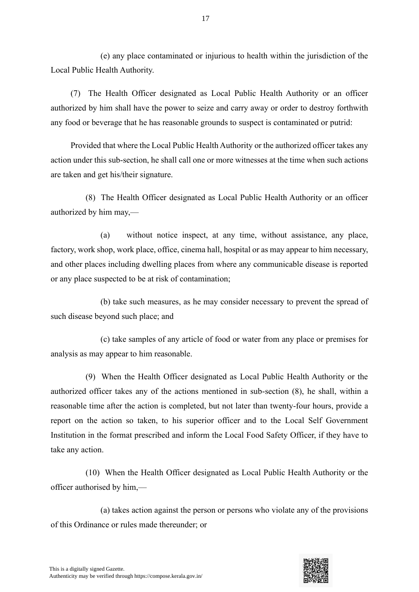(e) any place contaminated or injurious to health within the jurisdiction of the Local Public Health Authority.

(7) The Health Officer designated as Local Public Health Authority or an officer authorized by him shall have the power to seize and carry away or order to destroy forthwith any food or beverage that he has reasonable grounds to suspect is contaminated or putrid:

Provided that where the Local Public Health Authority or the authorized officer takes any action under this sub-section, he shall call one or more witnesses at the time when such actions are taken and get his/their signature.

(8) The Health Officer designated as Local Public Health Authority or an officer authorized by him may,—

(a) without notice inspect, at any time, without assistance, any place, factory, work shop, work place, office, cinema hall, hospital or as may appear to him necessary, and other places including dwelling places from where any communicable disease is reported or any place suspected to be at risk of contamination;

(b) take such measures, as he may consider necessary to prevent the spread of such disease beyond such place; and

(c) take samples of any article of food or water from any place or premises for analysis as may appear to him reasonable.

(9) When the Health Officer designated as Local Public Health Authority or the authorized officer takes any of the actions mentioned in sub-section (8), he shall, within a reasonable time after the action is completed, but not later than twenty-four hours, provide a report on the action so taken, to his superior officer and to the Local Self Government Institution in the format prescribed and inform the Local Food Safety Officer, if they have to take any action.

(10) When the Health Officer designated as Local Public Health Authority or the officer authorised by him,—

(a) takes action against the person or persons who violate any of the provisions of this Ordinance or rules made thereunder; or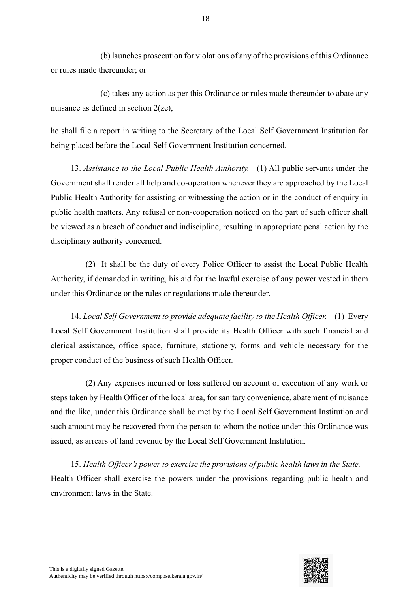(b) launches prosecution for violations of any of the provisions of this Ordinance or rules made thereunder; or

(c) takes any action as per this Ordinance or rules made thereunder to abate any nuisance as defined in section 2(ze),

he shall file a report in writing to the Secretary of the Local Self Government Institution for being placed before the Local Self Government Institution concerned.

13. *Assistance to the Local Public Health Authority.—*(1) All public servants under the Government shall render all help and co-operation whenever they are approached by the Local Public Health Authority for assisting or witnessing the action or in the conduct of enquiry in public health matters. Any refusal or non-cooperation noticed on the part of such officer shall be viewed as a breach of conduct and indiscipline, resulting in appropriate penal action by the disciplinary authority concerned.

(2) It shall be the duty of every Police Officer to assist the Local Public Health Authority, if demanded in writing, his aid for the lawful exercise of any power vested in them under this Ordinance or the rules or regulations made thereunder.

14. *Local Self Government to provide adequate facility to the Health Officer.—*(1) Every Local Self Government Institution shall provide its Health Officer with such financial and clerical assistance, office space, furniture, stationery, forms and vehicle necessary for the proper conduct of the business of such Health Officer.

(2) Any expenses incurred or loss suffered on account of execution of any work or steps taken by Health Officer of the local area, for sanitary convenience, abatement of nuisance and the like, under this Ordinance shall be met by the Local Self Government Institution and such amount may be recovered from the person to whom the notice under this Ordinance was issued, as arrears of land revenue by the Local Self Government Institution.

15. *Health Officer's power to exercise the provisions of public health laws in the State.—* Health Officer shall exercise the powers under the provisions regarding public health and environment laws in the State.

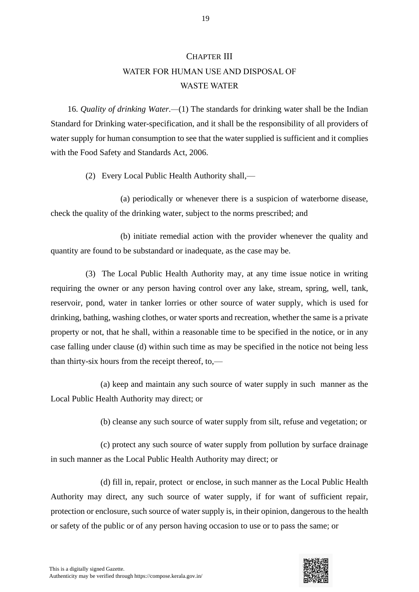#### CHAPTER III

# WATER FOR HUMAN USE AND DISPOSAL OF WASTE WATER

16. *Quality of drinking Water.—*(1) The standards for drinking water shall be the Indian Standard for Drinking water-specification, and it shall be the responsibility of all providers of water supply for human consumption to see that the water supplied is sufficient and it complies with the Food Safety and Standards Act, 2006.

(2) Every Local Public Health Authority shall,—

(a) periodically or whenever there is a suspicion of waterborne disease, check the quality of the drinking water, subject to the norms prescribed; and

(b) initiate remedial action with the provider whenever the quality and quantity are found to be substandard or inadequate, as the case may be.

(3) The Local Public Health Authority may, at any time issue notice in writing requiring the owner or any person having control over any lake, stream, spring, well, tank, reservoir, pond, water in tanker lorries or other source of water supply, which is used for drinking, bathing, washing clothes, or water sports and recreation, whether the same is a private property or not, that he shall, within a reasonable time to be specified in the notice, or in any case falling under clause (d) within such time as may be specified in the notice not being less than thirty-six hours from the receipt thereof, to,—

(a) keep and maintain any such source of water supply in such manner as the Local Public Health Authority may direct; or

(b) cleanse any such source of water supply from silt, refuse and vegetation; or

(c) protect any such source of water supply from pollution by surface drainage in such manner as the Local Public Health Authority may direct; or

(d) fill in, repair, protect or enclose, in such manner as the Local Public Health Authority may direct, any such source of water supply, if for want of sufficient repair, protection or enclosure, such source of water supply is, in their opinion, dangerous to the health or safety of the public or of any person having occasion to use or to pass the same; or

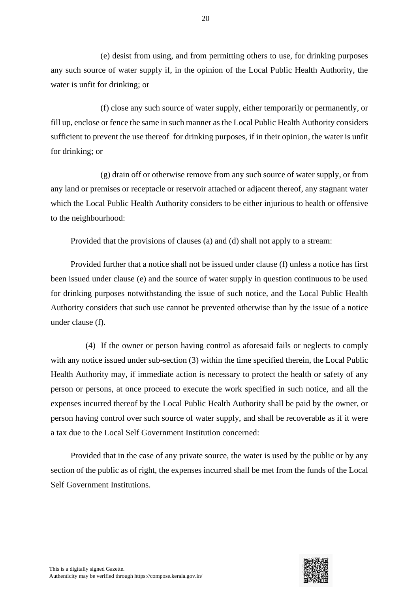(e) desist from using, and from permitting others to use, for drinking purposes any such source of water supply if, in the opinion of the Local Public Health Authority, the water is unfit for drinking; or

(f) close any such source of water supply, either temporarily or permanently, or fill up, enclose or fence the same in such manner as the Local Public Health Authority considers sufficient to prevent the use thereof for drinking purposes, if in their opinion, the water is unfit for drinking; or

(g) drain off or otherwise remove from any such source of water supply, or from any land or premises or receptacle or reservoir attached or adjacent thereof, any stagnant water which the Local Public Health Authority considers to be either injurious to health or offensive to the neighbourhood:

Provided that the provisions of clauses (a) and (d) shall not apply to a stream:

Provided further that a notice shall not be issued under clause (f) unless a notice has first been issued under clause (e) and the source of water supply in question continuous to be used for drinking purposes notwithstanding the issue of such notice, and the Local Public Health Authority considers that such use cannot be prevented otherwise than by the issue of a notice under clause (f).

(4) If the owner or person having control as aforesaid fails or neglects to comply with any notice issued under sub-section (3) within the time specified therein, the Local Public Health Authority may, if immediate action is necessary to protect the health or safety of any person or persons, at once proceed to execute the work specified in such notice, and all the expenses incurred thereof by the Local Public Health Authority shall be paid by the owner, or person having control over such source of water supply, and shall be recoverable as if it were a tax due to the Local Self Government Institution concerned:

Provided that in the case of any private source, the water is used by the public or by any section of the public as of right, the expenses incurred shall be met from the funds of the Local Self Government Institutions.

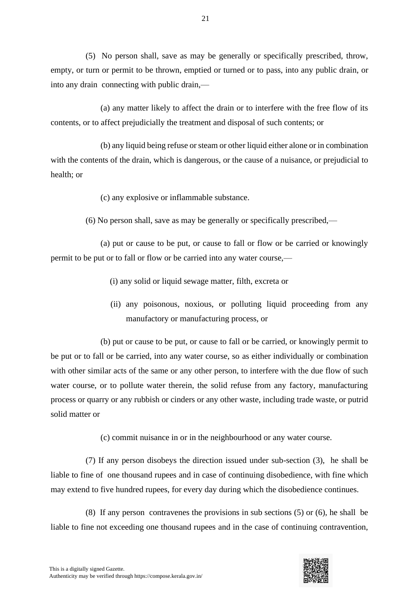(5) No person shall, save as may be generally or specifically prescribed, throw, empty, or turn or permit to be thrown, emptied or turned or to pass, into any public drain, or into any drain connecting with public drain,—

(a) any matter likely to affect the drain or to interfere with the free flow of its contents, or to affect prejudicially the treatment and disposal of such contents; or

(b) any liquid being refuse or steam or other liquid either alone or in combination with the contents of the drain, which is dangerous, or the cause of a nuisance, or prejudicial to health; or

(c) any explosive or inflammable substance.

(6) No person shall, save as may be generally or specifically prescribed,—

(a) put or cause to be put, or cause to fall or flow or be carried or knowingly permit to be put or to fall or flow or be carried into any water course,—

(i) any solid or liquid sewage matter, filth, excreta or

(ii) any poisonous, noxious, or polluting liquid proceeding from any manufactory or manufacturing process, or

(b) put or cause to be put, or cause to fall or be carried, or knowingly permit to be put or to fall or be carried, into any water course, so as either individually or combination with other similar acts of the same or any other person, to interfere with the due flow of such water course, or to pollute water therein, the solid refuse from any factory, manufacturing process or quarry or any rubbish or cinders or any other waste, including trade waste, or putrid solid matter or

(c) commit nuisance in or in the neighbourhood or any water course.

(7) If any person disobeys the direction issued under sub-section (3), he shall be liable to fine of one thousand rupees and in case of continuing disobedience, with fine which may extend to five hundred rupees, for every day during which the disobedience continues.

(8) If any person contravenes the provisions in sub sections (5) or (6), he shall be liable to fine not exceeding one thousand rupees and in the case of continuing contravention,

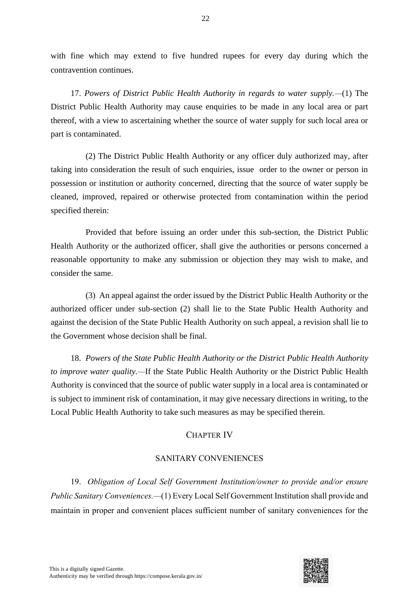with fine which may extend to five hundred rupees for every day during which the contravention continues.

17. *Powers of District Public Health Authority in regards to water supply.—*(1) The District Public Health Authority may cause enquiries to be made in any local area or part thereof, with a view to ascertaining whether the source of water supply for such local area or part is contaminated.

(2) The District Public Health Authority or any officer duly authorized may, after taking into consideration the result of such enquiries, issue order to the owner or person in possession or institution or authority concerned, directing that the source of water supply be cleaned, improved, repaired or otherwise protected from contamination within the period specified therein:

Provided that before issuing an order under this sub-section, the District Public Health Authority or the authorized officer, shall give the authorities or persons concerned a reasonable opportunity to make any submission or objection they may wish to make, and consider the same.

(3) An appeal against the order issued by the District Public Health Authority or the authorized officer under sub-section (2) shall lie to the State Public Health Authority and against the decision of the State Public Health Authority on such appeal, a revision shall lie to the Government whose decision shall be final.

18. *Powers of the State Public Health Authority or the District Public Health Authority to improve water quality.—*If the State Public Health Authority or the District Public Health Authority is convinced that the source of public water supply in a local area is contaminated or is subject to imminent risk of contamination, it may give necessary directions in writing, to the Local Public Health Authority to take such measures as may be specified therein.

# CHAPTER IV

## SANITARY CONVENIENCES

19. *Obligation of Local Self Government Institution/owner to provide and/or ensure Public Sanitary Conveniences.—*(1) Every Local Self Government Institution shall provide and maintain in proper and convenient places sufficient number of sanitary conveniences for the

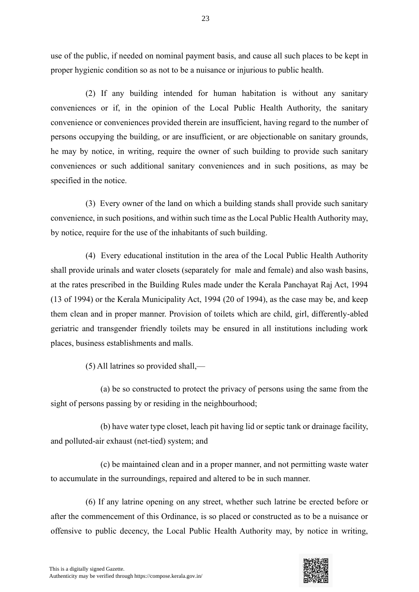use of the public, if needed on nominal payment basis, and cause all such places to be kept in proper hygienic condition so as not to be a nuisance or injurious to public health.

(2) If any building intended for human habitation is without any sanitary conveniences or if, in the opinion of the Local Public Health Authority, the sanitary convenience or conveniences provided therein are insufficient, having regard to the number of persons occupying the building, or are insufficient, or are objectionable on sanitary grounds, he may by notice, in writing, require the owner of such building to provide such sanitary conveniences or such additional sanitary conveniences and in such positions, as may be specified in the notice.

(3) Every owner of the land on which a building stands shall provide such sanitary convenience, in such positions, and within such time as the Local Public Health Authority may, by notice, require for the use of the inhabitants of such building.

(4) Every educational institution in the area of the Local Public Health Authority shall provide urinals and water closets (separately for male and female) and also wash basins, at the rates prescribed in the Building Rules made under the Kerala Panchayat Raj Act, 1994 (13 of 1994) or the Kerala Municipality Act, 1994 (20 of 1994), as the case may be, and keep them clean and in proper manner. Provision of toilets which are child, girl, differently-abled geriatric and transgender friendly toilets may be ensured in all institutions including work places, business establishments and malls.

(5) All latrines so provided shall,—

(a) be so constructed to protect the privacy of persons using the same from the sight of persons passing by or residing in the neighbourhood;

(b) have water type closet, leach pit having lid or septic tank or drainage facility, and polluted-air exhaust (net-tied) system; and

(c) be maintained clean and in a proper manner, and not permitting waste water to accumulate in the surroundings, repaired and altered to be in such manner.

(6) If any latrine opening on any street, whether such latrine be erected before or after the commencement of this Ordinance, is so placed or constructed as to be a nuisance or offensive to public decency, the Local Public Health Authority may, by notice in writing,

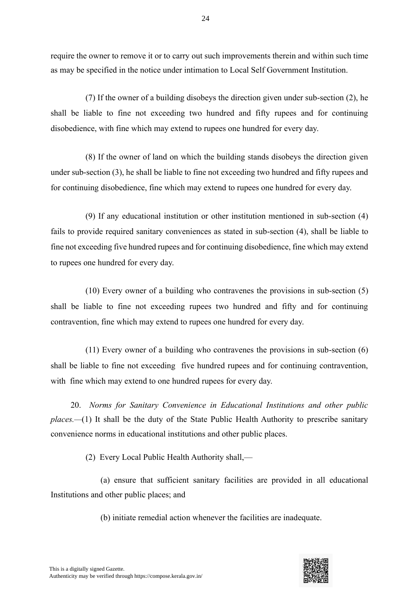require the owner to remove it or to carry out such improvements therein and within such time as may be specified in the notice under intimation to Local Self Government Institution.

24

(7) If the owner of a building disobeys the direction given under sub-section (2), he shall be liable to fine not exceeding two hundred and fifty rupees and for continuing disobedience, with fine which may extend to rupees one hundred for every day.

(8) If the owner of land on which the building stands disobeys the direction given under sub-section (3), he shall be liable to fine not exceeding two hundred and fifty rupees and for continuing disobedience, fine which may extend to rupees one hundred for every day.

(9) If any educational institution or other institution mentioned in sub-section (4) fails to provide required sanitary conveniences as stated in sub-section (4), shall be liable to fine not exceeding five hundred rupees and for continuing disobedience, fine which may extend to rupees one hundred for every day.

(10) Every owner of a building who contravenes the provisions in sub-section (5) shall be liable to fine not exceeding rupees two hundred and fifty and for continuing contravention, fine which may extend to rupees one hundred for every day.

(11) Every owner of a building who contravenes the provisions in sub-section (6) shall be liable to fine not exceeding five hundred rupees and for continuing contravention, with fine which may extend to one hundred rupees for every day.

20. *Norms for Sanitary Convenience in Educational Institutions and other public places.—*(1) It shall be the duty of the State Public Health Authority to prescribe sanitary convenience norms in educational institutions and other public places.

(2) Every Local Public Health Authority shall,—

(a) ensure that sufficient sanitary facilities are provided in all educational Institutions and other public places; and

(b) initiate remedial action whenever the facilities are inadequate.

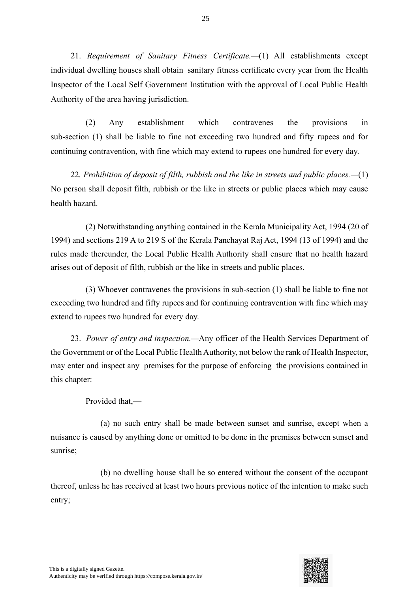21. *Requirement of Sanitary Fitness Certificate.—*(1) All establishments except individual dwelling houses shall obtain sanitary fitness certificate every year from the Health Inspector of the Local Self Government Institution with the approval of Local Public Health Authority of the area having jurisdiction.

(2) Any establishment which contravenes the provisions in sub-section (1) shall be liable to fine not exceeding two hundred and fifty rupees and for continuing contravention, with fine which may extend to rupees one hundred for every day.

22*. Prohibition of deposit of filth, rubbish and the like in streets and public places.—*(1) No person shall deposit filth, rubbish or the like in streets or public places which may cause health hazard.

(2) Notwithstanding anything contained in the Kerala Municipality Act, 1994 (20 of 1994) and sections 219 A to 219 S of the Kerala Panchayat Raj Act, 1994 (13 of 1994) and the rules made thereunder, the Local Public Health Authority shall ensure that no health hazard arises out of deposit of filth, rubbish or the like in streets and public places.

(3) Whoever contravenes the provisions in sub-section (1) shall be liable to fine not exceeding two hundred and fifty rupees and for continuing contravention with fine which may extend to rupees two hundred for every day.

23. *Power of entry and inspection.—*Any officer of the Health Services Department of the Government or of the Local Public Health Authority, not below the rank of Health Inspector, may enter and inspect any premises for the purpose of enforcing the provisions contained in this chapter:

Provided that,—

(a) no such entry shall be made between sunset and sunrise, except when a nuisance is caused by anything done or omitted to be done in the premises between sunset and sunrise;

(b) no dwelling house shall be so entered without the consent of the occupant thereof, unless he has received at least two hours previous notice of the intention to make such entry;

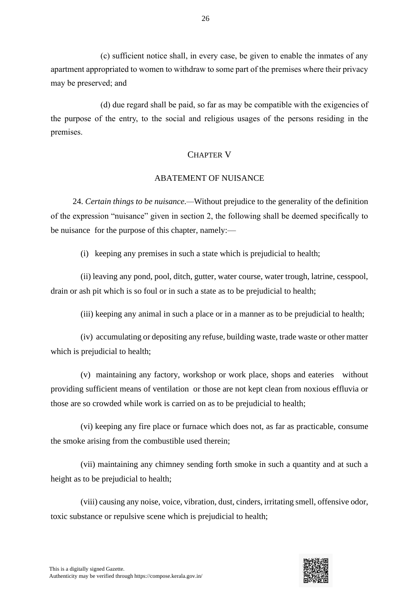(c) sufficient notice shall, in every case, be given to enable the inmates of any apartment appropriated to women to withdraw to some part of the premises where their privacy may be preserved; and

(d) due regard shall be paid, so far as may be compatible with the exigencies of the purpose of the entry, to the social and religious usages of the persons residing in the premises.

## CHAPTER V

## ABATEMENT OF NUISANCE

24. *Certain things to be nuisance.—*Without prejudice to the generality of the definition of the expression "nuisance" given in section 2, the following shall be deemed specifically to be nuisance for the purpose of this chapter, namely:—

(i) keeping any premises in such a state which is prejudicial to health;

(ii) leaving any pond, pool, ditch, gutter, water course, water trough, latrine, cesspool, drain or ash pit which is so foul or in such a state as to be prejudicial to health;

(iii) keeping any animal in such a place or in a manner as to be prejudicial to health;

(iv) accumulating or depositing any refuse, building waste, trade waste or other matter which is prejudicial to health;

(v) maintaining any factory, workshop or work place, shops and eateries without providing sufficient means of ventilation or those are not kept clean from noxious effluvia or those are so crowded while work is carried on as to be prejudicial to health;

(vi) keeping any fire place or furnace which does not, as far as practicable, consume the smoke arising from the combustible used therein;

(vii) maintaining any chimney sending forth smoke in such a quantity and at such a height as to be prejudicial to health;

(viii) causing any noise, voice, vibration, dust, cinders, irritating smell, offensive odor, toxic substance or repulsive scene which is prejudicial to health;

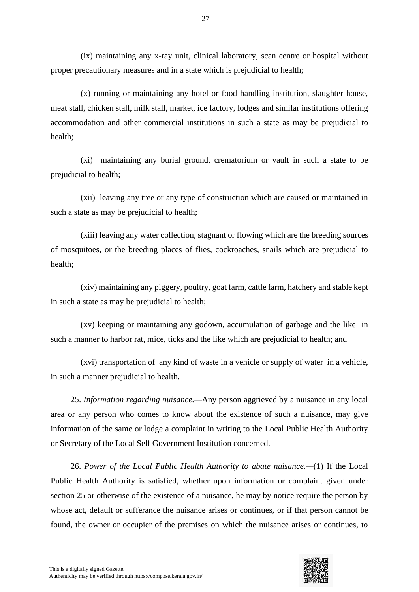(ix) maintaining any x-ray unit, clinical laboratory, scan centre or hospital without proper precautionary measures and in a state which is prejudicial to health;

(x) running or maintaining any hotel or food handling institution, slaughter house, meat stall, chicken stall, milk stall, market, ice factory, lodges and similar institutions offering accommodation and other commercial institutions in such a state as may be prejudicial to health;

(xi) maintaining any burial ground, crematorium or vault in such a state to be prejudicial to health;

(xii) leaving any tree or any type of construction which are caused or maintained in such a state as may be prejudicial to health;

(xiii) leaving any water collection, stagnant or flowing which are the breeding sources of mosquitoes, or the breeding places of flies, cockroaches, snails which are prejudicial to health;

(xiv) maintaining any piggery, poultry, goat farm, cattle farm, hatchery and stable kept in such a state as may be prejudicial to health;

(xv) keeping or maintaining any godown, accumulation of garbage and the like in such a manner to harbor rat, mice, ticks and the like which are prejudicial to health; and

(xvi) transportation of any kind of waste in a vehicle or supply of water in a vehicle, in such a manner prejudicial to health.

25. *Information regarding nuisance.—*Any person aggrieved by a nuisance in any local area or any person who comes to know about the existence of such a nuisance, may give information of the same or lodge a complaint in writing to the Local Public Health Authority or Secretary of the Local Self Government Institution concerned.

26. *Power of the Local Public Health Authority to abate nuisance.—*(1) If the Local Public Health Authority is satisfied, whether upon information or complaint given under section 25 or otherwise of the existence of a nuisance, he may by notice require the person by whose act, default or sufferance the nuisance arises or continues, or if that person cannot be found, the owner or occupier of the premises on which the nuisance arises or continues, to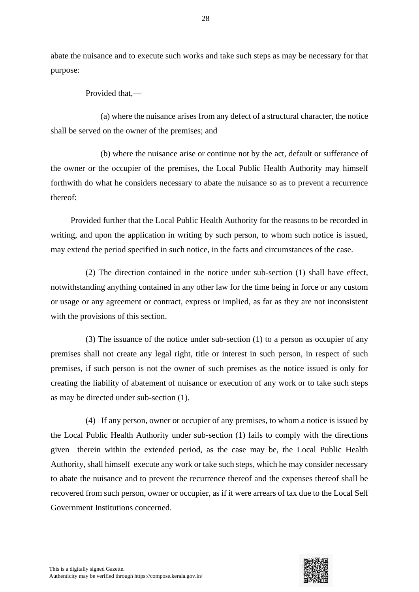abate the nuisance and to execute such works and take such steps as may be necessary for that purpose:

Provided that,—

(a) where the nuisance arises from any defect of a structural character, the notice shall be served on the owner of the premises; and

(b) where the nuisance arise or continue not by the act, default or sufferance of the owner or the occupier of the premises, the Local Public Health Authority may himself forthwith do what he considers necessary to abate the nuisance so as to prevent a recurrence thereof:

Provided further that the Local Public Health Authority for the reasons to be recorded in writing, and upon the application in writing by such person, to whom such notice is issued, may extend the period specified in such notice, in the facts and circumstances of the case.

(2) The direction contained in the notice under sub-section (1) shall have effect, notwithstanding anything contained in any other law for the time being in force or any custom or usage or any agreement or contract, express or implied, as far as they are not inconsistent with the provisions of this section.

(3) The issuance of the notice under sub-section (1) to a person as occupier of any premises shall not create any legal right, title or interest in such person, in respect of such premises, if such person is not the owner of such premises as the notice issued is only for creating the liability of abatement of nuisance or execution of any work or to take such steps as may be directed under sub-section (1).

(4) If any person, owner or occupier of any premises, to whom a notice is issued by the Local Public Health Authority under sub-section (1) fails to comply with the directions given therein within the extended period, as the case may be, the Local Public Health Authority, shall himself execute any work or take such steps, which he may consider necessary to abate the nuisance and to prevent the recurrence thereof and the expenses thereof shall be recovered from such person, owner or occupier, as if it were arrears of tax due to the Local Self Government Institutions concerned.

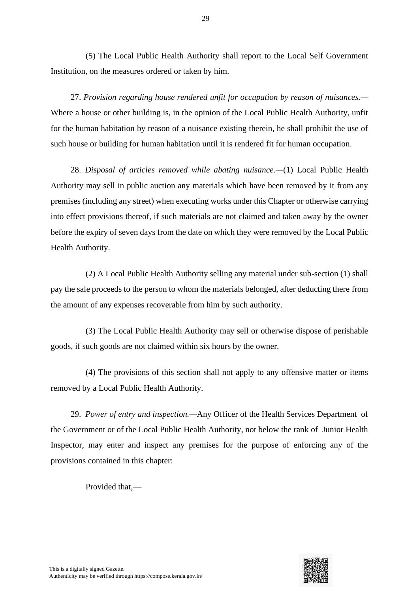(5) The Local Public Health Authority shall report to the Local Self Government Institution, on the measures ordered or taken by him.

27. *Provision regarding house rendered unfit for occupation by reason of nuisances.—* Where a house or other building is, in the opinion of the Local Public Health Authority, unfit for the human habitation by reason of a nuisance existing therein, he shall prohibit the use of such house or building for human habitation until it is rendered fit for human occupation.

28. *Disposal of articles removed while abating nuisance.—*(1) Local Public Health Authority may sell in public auction any materials which have been removed by it from any premises (including any street) when executing works under this Chapter or otherwise carrying into effect provisions thereof, if such materials are not claimed and taken away by the owner before the expiry of seven days from the date on which they were removed by the Local Public Health Authority.

(2) A Local Public Health Authority selling any material under sub-section (1) shall pay the sale proceeds to the person to whom the materials belonged, after deducting there from the amount of any expenses recoverable from him by such authority.

(3) The Local Public Health Authority may sell or otherwise dispose of perishable goods, if such goods are not claimed within six hours by the owner.

(4) The provisions of this section shall not apply to any offensive matter or items removed by a Local Public Health Authority.

29. *Power of entry and inspection.—*Any Officer of the Health Services Department of the Government or of the Local Public Health Authority, not below the rank of Junior Health Inspector, may enter and inspect any premises for the purpose of enforcing any of the provisions contained in this chapter:

Provided that,—

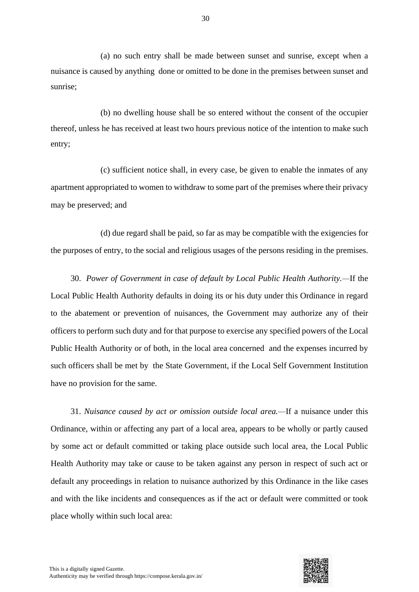(a) no such entry shall be made between sunset and sunrise, except when a nuisance is caused by anything done or omitted to be done in the premises between sunset and sunrise;

(b) no dwelling house shall be so entered without the consent of the occupier thereof, unless he has received at least two hours previous notice of the intention to make such entry;

(c) sufficient notice shall, in every case, be given to enable the inmates of any apartment appropriated to women to withdraw to some part of the premises where their privacy may be preserved; and

(d) due regard shall be paid, so far as may be compatible with the exigencies for the purposes of entry, to the social and religious usages of the persons residing in the premises.

30. *Power of Government in case of default by Local Public Health Authority.—*If the Local Public Health Authority defaults in doing its or his duty under this Ordinance in regard to the abatement or prevention of nuisances, the Government may authorize any of their officers to perform such duty and for that purpose to exercise any specified powers of the Local Public Health Authority or of both, in the local area concerned and the expenses incurred by such officers shall be met by the State Government, if the Local Self Government Institution have no provision for the same.

31. *Nuisance caused by act or omission outside local area.—*If a nuisance under this Ordinance, within or affecting any part of a local area, appears to be wholly or partly caused by some act or default committed or taking place outside such local area, the Local Public Health Authority may take or cause to be taken against any person in respect of such act or default any proceedings in relation to nuisance authorized by this Ordinance in the like cases and with the like incidents and consequences as if the act or default were committed or took place wholly within such local area:

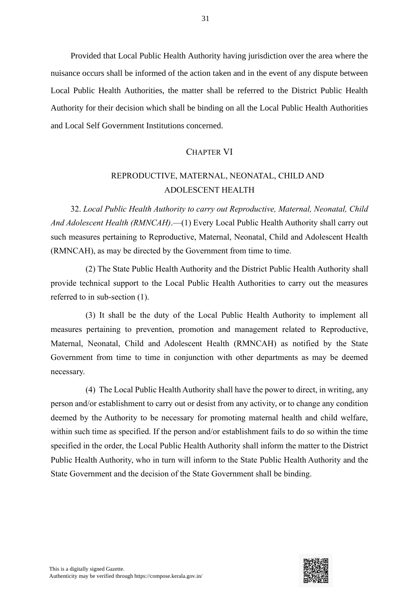Provided that Local Public Health Authority having jurisdiction over the area where the nuisance occurs shall be informed of the action taken and in the event of any dispute between Local Public Health Authorities, the matter shall be referred to the District Public Health Authority for their decision which shall be binding on all the Local Public Health Authorities and Local Self Government Institutions concerned.

#### CHAPTER VI

# REPRODUCTIVE, MATERNAL, NEONATAL, CHILD AND ADOLESCENT HEALTH

32. *Local Public Health Authority to carry out Reproductive, Maternal, Neonatal, Child And Adolescent Health (RMNCAH)*.—(1) Every Local Public Health Authority shall carry out such measures pertaining to Reproductive, Maternal, Neonatal, Child and Adolescent Health (RMNCAH), as may be directed by the Government from time to time.

(2) The State Public Health Authority and the District Public Health Authority shall provide technical support to the Local Public Health Authorities to carry out the measures referred to in sub-section (1).

(3) It shall be the duty of the Local Public Health Authority to implement all measures pertaining to prevention, promotion and management related to Reproductive, Maternal, Neonatal, Child and Adolescent Health (RMNCAH) as notified by the State Government from time to time in conjunction with other departments as may be deemed necessary.

(4) The Local Public Health Authority shall have the power to direct, in writing, any person and/or establishment to carry out or desist from any activity, or to change any condition deemed by the Authority to be necessary for promoting maternal health and child welfare, within such time as specified. If the person and/or establishment fails to do so within the time specified in the order, the Local Public Health Authority shall inform the matter to the District Public Health Authority, who in turn will inform to the State Public Health Authority and the State Government and the decision of the State Government shall be binding.

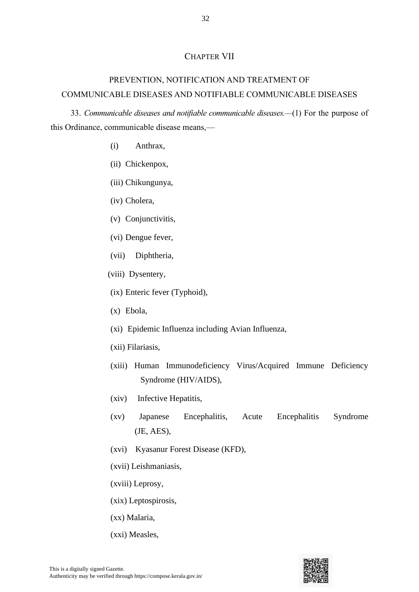#### CHAPTER VII

# PREVENTION, NOTIFICATION AND TREATMENT OF COMMUNICABLE DISEASES AND NOTIFIABLE COMMUNICABLE DISEASES

33. *Communicable diseases and notifiable communicable diseases.—*(1) For the purpose of this Ordinance, communicable disease means,—

- (i) Anthrax,
- (ii) Chickenpox,
- (iii) Chikungunya,
- (iv) Cholera,
- (v) Conjunctivitis,
- (vi) Dengue fever,
- (vii) Diphtheria,
- (viii) Dysentery,
- (ix) Enteric fever (Typhoid),
- (x) Ebola,
- (xi) Epidemic Influenza including Avian Influenza,
- (xii) Filariasis,
- (xiii) Human Immunodeficiency Virus/Acquired Immune Deficiency Syndrome (HIV/AIDS),
- (xiv) Infective Hepatitis,
- (xv) Japanese Encephalitis, Acute Encephalitis Syndrome (JE, AES),
- (xvi) Kyasanur Forest Disease (KFD),
- (xvii) Leishmaniasis,
- (xviii) Leprosy,
- (xix) Leptospirosis,
- (xx) Malaria,
- (xxi) Measles,

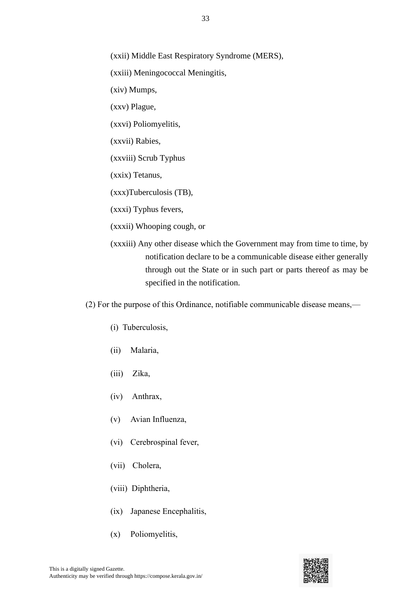(xxii) Middle East Respiratory Syndrome (MERS),

(xxiii) Meningococcal Meningitis,

(xiv) Mumps,

(xxv) Plague,

(xxvi) Poliomyelitis,

(xxvii) Rabies,

(xxviii) Scrub Typhus

(xxix) Tetanus,

(xxx)Tuberculosis (TB),

(xxxi) Typhus fevers,

(xxxii) Whooping cough, or

(xxxiii) Any other disease which the Government may from time to time, by notification declare to be a communicable disease either generally through out the State or in such part or parts thereof as may be specified in the notification.

(2) For the purpose of this Ordinance, notifiable communicable disease means,—

- (i) Tuberculosis,
- (ii) Malaria,
- (iii) Zika,
- (iv) Anthrax,
- (v) Avian Influenza,
- (vi) Cerebrospinal fever,
- (vii) Cholera,
- (viii) Diphtheria,
- (ix) Japanese Encephalitis,
- (x) Poliomyelitis,



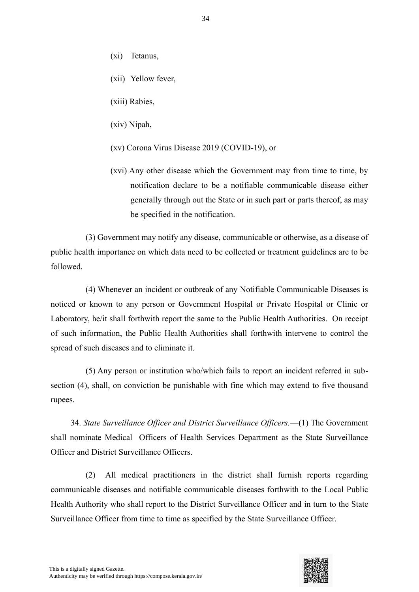- (xi) Tetanus,
- (xii) Yellow fever,
- (xiii) Rabies,
- (xiv) Nipah,
- (xv) Corona Virus Disease 2019 (COVID-19), or
- (xvi) Any other disease which the Government may from time to time, by notification declare to be a notifiable communicable disease either generally through out the State or in such part or parts thereof, as may be specified in the notification.

(3) Government may notify any disease, communicable or otherwise, as a disease of public health importance on which data need to be collected or treatment guidelines are to be followed.

(4) Whenever an incident or outbreak of any Notifiable Communicable Diseases is noticed or known to any person or Government Hospital or Private Hospital or Clinic or Laboratory, he/it shall forthwith report the same to the Public Health Authorities. On receipt of such information, the Public Health Authorities shall forthwith intervene to control the spread of such diseases and to eliminate it.

(5) Any person or institution who/which fails to report an incident referred in subsection (4), shall, on conviction be punishable with fine which may extend to five thousand rupees.

34. *State Surveillance Officer and District Surveillance Officers.*—(1) The Government shall nominate Medical Officers of Health Services Department as the State Surveillance Officer and District Surveillance Officers.

(2) All medical practitioners in the district shall furnish reports regarding communicable diseases and notifiable communicable diseases forthwith to the Local Public Health Authority who shall report to the District Surveillance Officer and in turn to the State Surveillance Officer from time to time as specified by the State Surveillance Officer.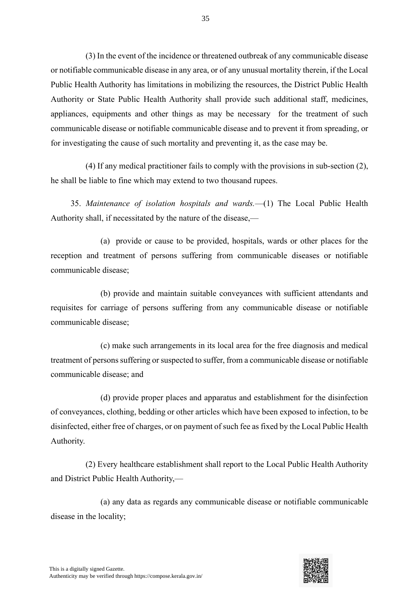(3) In the event of the incidence or threatened outbreak of any communicable disease or notifiable communicable disease in any area, or of any unusual mortality therein, if the Local Public Health Authority has limitations in mobilizing the resources, the District Public Health Authority or State Public Health Authority shall provide such additional staff, medicines, appliances, equipments and other things as may be necessary for the treatment of such communicable disease or notifiable communicable disease and to prevent it from spreading, or for investigating the cause of such mortality and preventing it, as the case may be.

(4) If any medical practitioner fails to comply with the provisions in sub-section (2), he shall be liable to fine which may extend to two thousand rupees.

35. *Maintenance of isolation hospitals and wards.*—(1) The Local Public Health Authority shall, if necessitated by the nature of the disease,—

(a) provide or cause to be provided, hospitals, wards or other places for the reception and treatment of persons suffering from communicable diseases or notifiable communicable disease;

(b) provide and maintain suitable conveyances with sufficient attendants and requisites for carriage of persons suffering from any communicable disease or notifiable communicable disease;

(c) make such arrangements in its local area for the free diagnosis and medical treatment of persons suffering or suspected to suffer, from a communicable disease or notifiable communicable disease; and

(d) provide proper places and apparatus and establishment for the disinfection of conveyances, clothing, bedding or other articles which have been exposed to infection, to be disinfected, either free of charges, or on payment of such fee as fixed by the Local Public Health Authority.

(2) Every healthcare establishment shall report to the Local Public Health Authority and District Public Health Authority,—

(a) any data as regards any communicable disease or notifiable communicable disease in the locality;

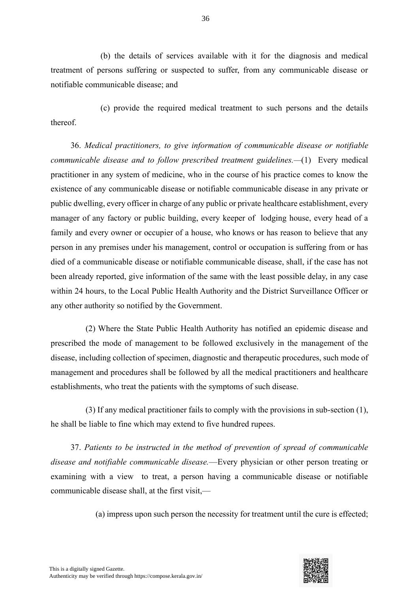(b) the details of services available with it for the diagnosis and medical treatment of persons suffering or suspected to suffer, from any communicable disease or notifiable communicable disease; and

(c) provide the required medical treatment to such persons and the details thereof.

36. *Medical practitioners, to give information of communicable disease or notifiable communicable disease and to follow prescribed treatment guidelines.—*(1) Every medical practitioner in any system of medicine, who in the course of his practice comes to know the existence of any communicable disease or notifiable communicable disease in any private or public dwelling, every officer in charge of any public or private healthcare establishment, every manager of any factory or public building, every keeper of lodging house, every head of a family and every owner or occupier of a house, who knows or has reason to believe that any person in any premises under his management, control or occupation is suffering from or has died of a communicable disease or notifiable communicable disease, shall, if the case has not been already reported, give information of the same with the least possible delay, in any case within 24 hours, to the Local Public Health Authority and the District Surveillance Officer or any other authority so notified by the Government.

(2) Where the State Public Health Authority has notified an epidemic disease and prescribed the mode of management to be followed exclusively in the management of the disease, including collection of specimen, diagnostic and therapeutic procedures, such mode of management and procedures shall be followed by all the medical practitioners and healthcare establishments, who treat the patients with the symptoms of such disease.

(3) If any medical practitioner fails to comply with the provisions in sub-section (1), he shall be liable to fine which may extend to five hundred rupees.

37. *Patients to be instructed in the method of prevention of spread of communicable disease and notifiable communicable disease.*—Every physician or other person treating or examining with a view to treat, a person having a communicable disease or notifiable communicable disease shall, at the first visit,—

(a) impress upon such person the necessity for treatment until the cure is effected;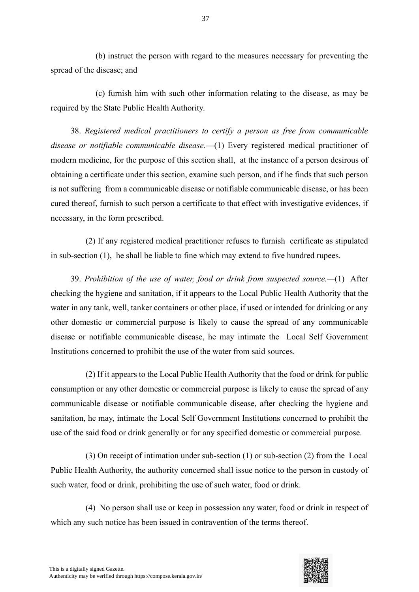(b) instruct the person with regard to the measures necessary for preventing the spread of the disease; and

(c) furnish him with such other information relating to the disease, as may be required by the State Public Health Authority.

38. *Registered medical practitioners to certify a person as free from communicable disease or notifiable communicable disease.*—(1) Every registered medical practitioner of modern medicine, for the purpose of this section shall, at the instance of a person desirous of obtaining a certificate under this section, examine such person, and if he finds that such person is not suffering from a communicable disease or notifiable communicable disease, or has been cured thereof, furnish to such person a certificate to that effect with investigative evidences, if necessary, in the form prescribed.

(2) If any registered medical practitioner refuses to furnish certificate as stipulated in sub-section (1), he shall be liable to fine which may extend to five hundred rupees.

39. *Prohibition of the use of water, food or drink from suspected source.—*(1) After checking the hygiene and sanitation, if it appears to the Local Public Health Authority that the water in any tank, well, tanker containers or other place, if used or intended for drinking or any other domestic or commercial purpose is likely to cause the spread of any communicable disease or notifiable communicable disease, he may intimate the Local Self Government Institutions concerned to prohibit the use of the water from said sources.

(2) If it appears to the Local Public Health Authority that the food or drink for public consumption or any other domestic or commercial purpose is likely to cause the spread of any communicable disease or notifiable communicable disease, after checking the hygiene and sanitation, he may, intimate the Local Self Government Institutions concerned to prohibit the use of the said food or drink generally or for any specified domestic or commercial purpose.

(3) On receipt of intimation under sub-section (1) or sub-section (2) from the Local Public Health Authority, the authority concerned shall issue notice to the person in custody of such water, food or drink, prohibiting the use of such water, food or drink.

(4) No person shall use or keep in possession any water, food or drink in respect of which any such notice has been issued in contravention of the terms thereof.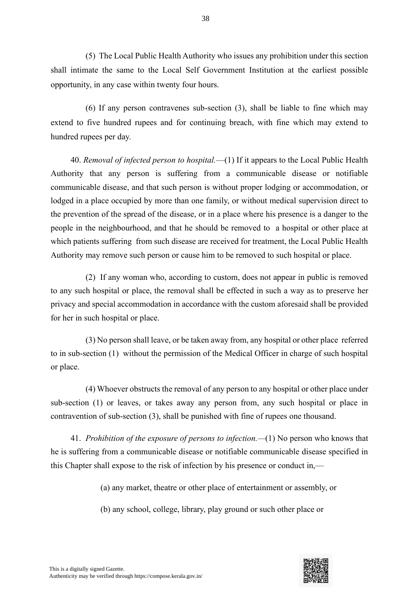(5) The Local Public Health Authority who issues any prohibition under this section shall intimate the same to the Local Self Government Institution at the earliest possible opportunity, in any case within twenty four hours.

(6) If any person contravenes sub-section (3), shall be liable to fine which may extend to five hundred rupees and for continuing breach, with fine which may extend to hundred rupees per day.

40. *Removal of infected person to hospital.*—(1) If it appears to the Local Public Health Authority that any person is suffering from a communicable disease or notifiable communicable disease, and that such person is without proper lodging or accommodation, or lodged in a place occupied by more than one family, or without medical supervision direct to the prevention of the spread of the disease, or in a place where his presence is a danger to the people in the neighbourhood, and that he should be removed to a hospital or other place at which patients suffering from such disease are received for treatment, the Local Public Health Authority may remove such person or cause him to be removed to such hospital or place.

(2) If any woman who, according to custom, does not appear in public is removed to any such hospital or place, the removal shall be effected in such a way as to preserve her privacy and special accommodation in accordance with the custom aforesaid shall be provided for her in such hospital or place.

(3) No person shall leave, or be taken away from, any hospital or other place referred to in sub-section (1) without the permission of the Medical Officer in charge of such hospital or place.

(4) Whoever obstructs the removal of any person to any hospital or other place under sub-section (1) or leaves, or takes away any person from, any such hospital or place in contravention of sub-section (3), shall be punished with fine of rupees one thousand.

41. *Prohibition of the exposure of persons to infection.—*(1) No person who knows that he is suffering from a communicable disease or notifiable communicable disease specified in this Chapter shall expose to the risk of infection by his presence or conduct in,—

(a) any market, theatre or other place of entertainment or assembly, or

(b) any school, college, library, play ground or such other place or

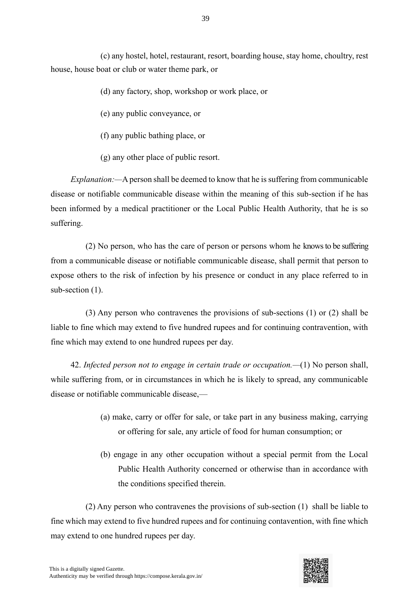(c) any hostel, hotel, restaurant, resort, boarding house, stay home, choultry, rest house, house boat or club or water theme park, or

- (d) any factory, shop, workshop or work place, or
- (e) any public conveyance, or
- (f) any public bathing place, or
- (g) any other place of public resort.

*Explanation:—*A person shall be deemed to know that he is suffering from communicable disease or notifiable communicable disease within the meaning of this sub-section if he has been informed by a medical practitioner or the Local Public Health Authority, that he is so suffering.

(2) No person, who has the care of person or persons whom he knows to be suffering from a communicable disease or notifiable communicable disease, shall permit that person to expose others to the risk of infection by his presence or conduct in any place referred to in sub-section  $(1)$ .

(3) Any person who contravenes the provisions of sub-sections (1) or (2) shall be liable to fine which may extend to five hundred rupees and for continuing contravention, with fine which may extend to one hundred rupees per day.

42. *Infected person not to engage in certain trade or occupation.—*(1) No person shall, while suffering from, or in circumstances in which he is likely to spread, any communicable disease or notifiable communicable disease,—

- (a) make, carry or offer for sale, or take part in any business making, carrying or offering for sale, any article of food for human consumption; or
- (b) engage in any other occupation without a special permit from the Local Public Health Authority concerned or otherwise than in accordance with the conditions specified therein.

(2) Any person who contravenes the provisions of sub-section (1) shall be liable to fine which may extend to five hundred rupees and for continuing contavention, with fine which may extend to one hundred rupees per day.

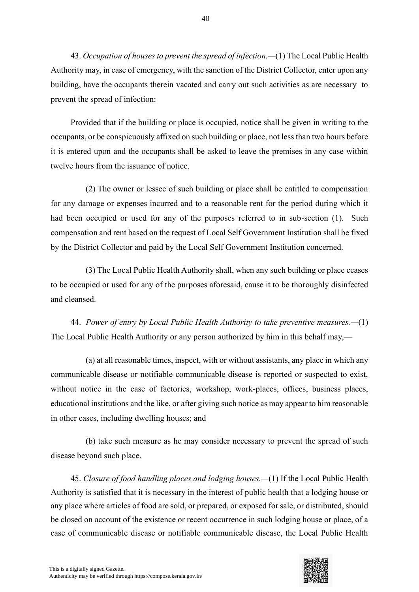43. *Occupation of houses to prevent the spread of infection.—*(1) The Local Public Health Authority may, in case of emergency, with the sanction of the District Collector, enter upon any building, have the occupants therein vacated and carry out such activities as are necessary to prevent the spread of infection:

Provided that if the building or place is occupied, notice shall be given in writing to the occupants, or be conspicuously affixed on such building or place, not less than two hours before it is entered upon and the occupants shall be asked to leave the premises in any case within twelve hours from the issuance of notice.

(2) The owner or lessee of such building or place shall be entitled to compensation for any damage or expenses incurred and to a reasonable rent for the period during which it had been occupied or used for any of the purposes referred to in sub-section (1). Such compensation and rent based on the request of Local Self Government Institution shall be fixed by the District Collector and paid by the Local Self Government Institution concerned.

(3) The Local Public Health Authority shall, when any such building or place ceases to be occupied or used for any of the purposes aforesaid, cause it to be thoroughly disinfected and cleansed.

44. *Power of entry by Local Public Health Authority to take preventive measures.—*(1) The Local Public Health Authority or any person authorized by him in this behalf may,—

(a) at all reasonable times, inspect, with or without assistants, any place in which any communicable disease or notifiable communicable disease is reported or suspected to exist, without notice in the case of factories, workshop, work-places, offices, business places, educational institutions and the like, or after giving such notice as may appear to him reasonable in other cases, including dwelling houses; and

(b) take such measure as he may consider necessary to prevent the spread of such disease beyond such place.

45. *Closure of food handling places and lodging houses.—*(1) If the Local Public Health Authority is satisfied that it is necessary in the interest of public health that a lodging house or any place where articles of food are sold, or prepared, or exposed for sale, or distributed, should be closed on account of the existence or recent occurrence in such lodging house or place, of a case of communicable disease or notifiable communicable disease, the Local Public Health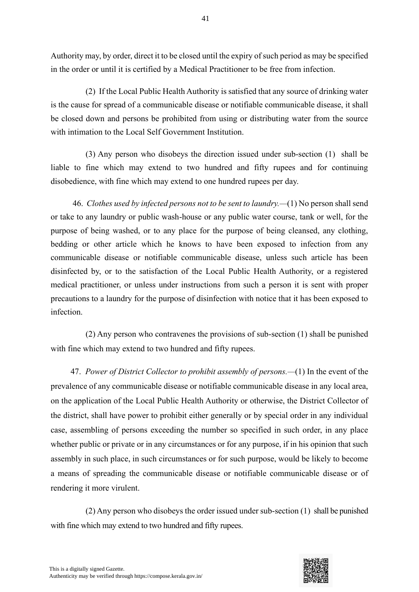Authority may, by order, direct it to be closed until the expiry of such period as may be specified in the order or until it is certified by a Medical Practitioner to be free from infection.

(2) If the Local Public Health Authority is satisfied that any source of drinking water is the cause for spread of a communicable disease or notifiable communicable disease, it shall be closed down and persons be prohibited from using or distributing water from the source with intimation to the Local Self Government Institution.

(3) Any person who disobeys the direction issued under sub-section (1) shall be liable to fine which may extend to two hundred and fifty rupees and for continuing disobedience, with fine which may extend to one hundred rupees per day.

46. *Clothes used by infected persons not to be sent to laundry.—*(1) No person shall send or take to any laundry or public wash-house or any public water course, tank or well, for the purpose of being washed, or to any place for the purpose of being cleansed, any clothing, bedding or other article which he knows to have been exposed to infection from any communicable disease or notifiable communicable disease, unless such article has been disinfected by, or to the satisfaction of the Local Public Health Authority, or a registered medical practitioner, or unless under instructions from such a person it is sent with proper precautions to a laundry for the purpose of disinfection with notice that it has been exposed to infection.

(2) Any person who contravenes the provisions of sub-section (1) shall be punished with fine which may extend to two hundred and fifty rupees.

47. *Power of District Collector to prohibit assembly of persons.—*(1) In the event of the prevalence of any communicable disease or notifiable communicable disease in any local area, on the application of the Local Public Health Authority or otherwise, the District Collector of the district, shall have power to prohibit either generally or by special order in any individual case, assembling of persons exceeding the number so specified in such order, in any place whether public or private or in any circumstances or for any purpose, if in his opinion that such assembly in such place, in such circumstances or for such purpose, would be likely to become a means of spreading the communicable disease or notifiable communicable disease or of rendering it more virulent.

(2) Any person who disobeys the order issued under sub-section (1) shall be punished with fine which may extend to two hundred and fifty rupees.

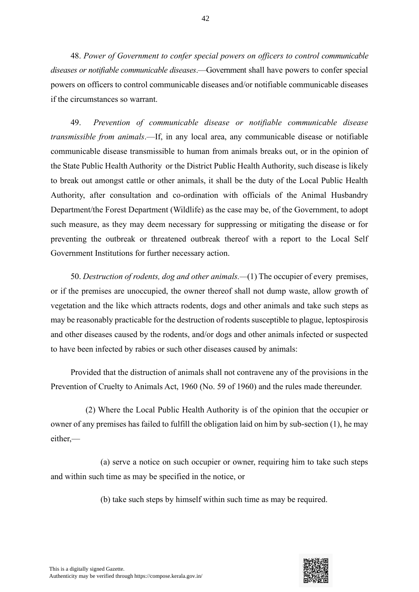48. *Power of Government to confer special powers on officers to control communicable diseases or notifiable communicable diseases*.—Government shall have powers to confer special powers on officers to control communicable diseases and/or notifiable communicable diseases if the circumstances so warrant.

49. *Prevention of communicable disease or notifiable communicable disease transmissible from animals*.—If, in any local area, any communicable disease or notifiable communicable disease transmissible to human from animals breaks out, or in the opinion of the State Public Health Authority or the District Public Health Authority, such disease is likely to break out amongst cattle or other animals, it shall be the duty of the Local Public Health Authority, after consultation and co-ordination with officials of the Animal Husbandry Department/the Forest Department (Wildlife) as the case may be, of the Government, to adopt such measure, as they may deem necessary for suppressing or mitigating the disease or for preventing the outbreak or threatened outbreak thereof with a report to the Local Self Government Institutions for further necessary action.

50. *Destruction of rodents, dog and other animals.—*(1) The occupier of every premises, or if the premises are unoccupied, the owner thereof shall not dump waste, allow growth of vegetation and the like which attracts rodents, dogs and other animals and take such steps as may be reasonably practicable for the destruction of rodents susceptible to plague, leptospirosis and other diseases caused by the rodents, and/or dogs and other animals infected or suspected to have been infected by rabies or such other diseases caused by animals:

Provided that the distruction of animals shall not contravene any of the provisions in the Prevention of Cruelty to Animals Act, 1960 (No. 59 of 1960) and the rules made thereunder.

(2) Where the Local Public Health Authority is of the opinion that the occupier or owner of any premises has failed to fulfill the obligation laid on him by sub-section (1), he may either,—

(a) serve a notice on such occupier or owner, requiring him to take such steps and within such time as may be specified in the notice, or

(b) take such steps by himself within such time as may be required.

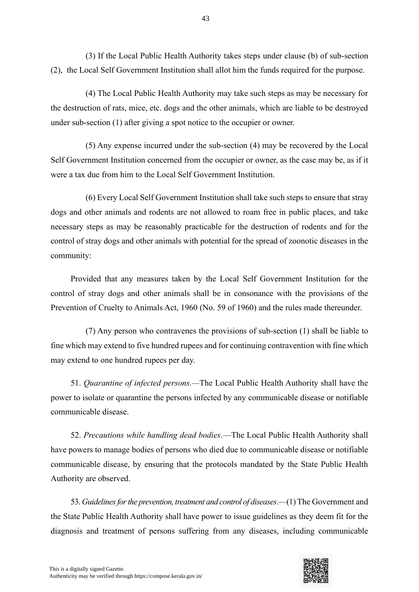(3) If the Local Public Health Authority takes steps under clause (b) of sub-section (2), the Local Self Government Institution shall allot him the funds required for the purpose.

(4) The Local Public Health Authority may take such steps as may be necessary for the destruction of rats, mice, etc. dogs and the other animals, which are liable to be destroyed under sub-section (1) after giving a spot notice to the occupier or owner.

(5) Any expense incurred under the sub-section (4) may be recovered by the Local Self Government Institution concerned from the occupier or owner, as the case may be, as if it were a tax due from him to the Local Self Government Institution.

(6) Every Local Self Government Institution shall take such steps to ensure that stray dogs and other animals and rodents are not allowed to roam free in public places, and take necessary steps as may be reasonably practicable for the destruction of rodents and for the control of stray dogs and other animals with potential for the spread of zoonotic diseases in the community:

Provided that any measures taken by the Local Self Government Institution for the control of stray dogs and other animals shall be in consonance with the provisions of the Prevention of Cruelty to Animals Act, 1960 (No. 59 of 1960) and the rules made thereunder.

(7) Any person who contravenes the provisions of sub-section (1) shall be liable to fine which may extend to five hundred rupees and for continuing contravention with fine which may extend to one hundred rupees per day.

51. *Quarantine of infected persons.—*The Local Public Health Authority shall have the power to isolate or quarantine the persons infected by any communicable disease or notifiable communicable disease.

52. *Precautions while handling dead bodies*.—The Local Public Health Authority shall have powers to manage bodies of persons who died due to communicable disease or notifiable communicable disease, by ensuring that the protocols mandated by the State Public Health Authority are observed.

53. *Guidelines for the prevention, treatment and control of diseases*.—(1) The Government and the State Public Health Authority shall have power to issue guidelines as they deem fit for the diagnosis and treatment of persons suffering from any diseases, including communicable

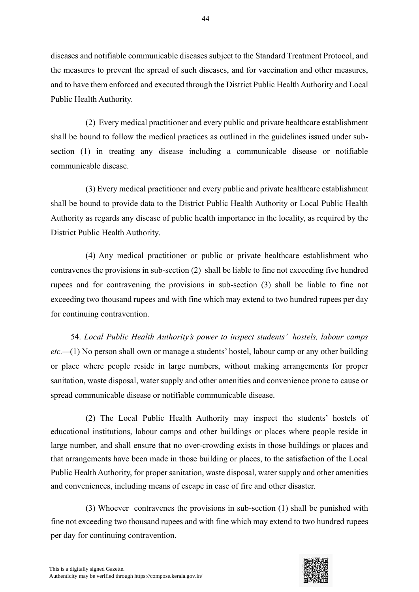diseases and notifiable communicable diseases subject to the Standard Treatment Protocol, and the measures to prevent the spread of such diseases, and for vaccination and other measures, and to have them enforced and executed through the District Public Health Authority and Local Public Health Authority.

(2) Every medical practitioner and every public and private healthcare establishment shall be bound to follow the medical practices as outlined in the guidelines issued under subsection (1) in treating any disease including a communicable disease or notifiable communicable disease.

(3) Every medical practitioner and every public and private healthcare establishment shall be bound to provide data to the District Public Health Authority or Local Public Health Authority as regards any disease of public health importance in the locality, as required by the District Public Health Authority.

(4) Any medical practitioner or public or private healthcare establishment who contravenes the provisions in sub-section (2) shall be liable to fine not exceeding five hundred rupees and for contravening the provisions in sub-section (3) shall be liable to fine not exceeding two thousand rupees and with fine which may extend to two hundred rupees per day for continuing contravention.

54. *Local Public Health Authority's power to inspect students' hostels, labour camps etc.—*(1) No person shall own or manage a students' hostel, labour camp or any other building or place where people reside in large numbers, without making arrangements for proper sanitation, waste disposal, water supply and other amenities and convenience prone to cause or spread communicable disease or notifiable communicable disease.

(2) The Local Public Health Authority may inspect the students' hostels of educational institutions, labour camps and other buildings or places where people reside in large number, and shall ensure that no over-crowding exists in those buildings or places and that arrangements have been made in those building or places, to the satisfaction of the Local Public Health Authority, for proper sanitation, waste disposal, water supply and other amenities and conveniences, including means of escape in case of fire and other disaster.

(3) Whoever contravenes the provisions in sub-section (1) shall be punished with fine not exceeding two thousand rupees and with fine which may extend to two hundred rupees per day for continuing contravention.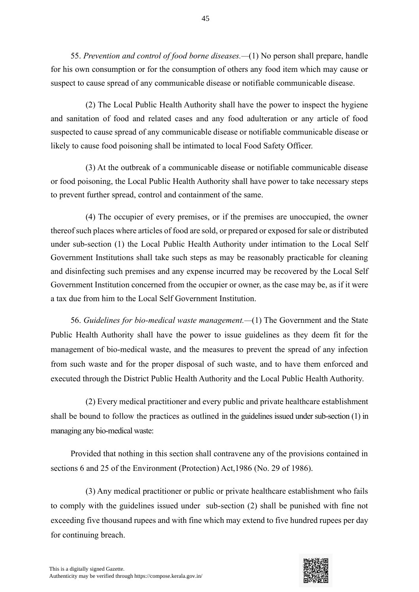55. *Prevention and control of food borne diseases.—*(1) No person shall prepare, handle for his own consumption or for the consumption of others any food item which may cause or suspect to cause spread of any communicable disease or notifiable communicable disease.

45

(2) The Local Public Health Authority shall have the power to inspect the hygiene and sanitation of food and related cases and any food adulteration or any article of food suspected to cause spread of any communicable disease or notifiable communicable disease or likely to cause food poisoning shall be intimated to local Food Safety Officer.

(3) At the outbreak of a communicable disease or notifiable communicable disease or food poisoning, the Local Public Health Authority shall have power to take necessary steps to prevent further spread, control and containment of the same.

(4) The occupier of every premises, or if the premises are unoccupied, the owner thereof such places where articles of food are sold, or prepared or exposed for sale or distributed under sub-section (1) the Local Public Health Authority under intimation to the Local Self Government Institutions shall take such steps as may be reasonably practicable for cleaning and disinfecting such premises and any expense incurred may be recovered by the Local Self Government Institution concerned from the occupier or owner, as the case may be, as if it were a tax due from him to the Local Self Government Institution.

56. *Guidelines for bio-medical waste management.—*(1) The Government and the State Public Health Authority shall have the power to issue guidelines as they deem fit for the management of bio-medical waste, and the measures to prevent the spread of any infection from such waste and for the proper disposal of such waste, and to have them enforced and executed through the District Public Health Authority and the Local Public Health Authority.

(2) Every medical practitioner and every public and private healthcare establishment shall be bound to follow the practices as outlined in the guidelines issued under sub-section (1) in managing any bio-medical waste:

Provided that nothing in this section shall contravene any of the provisions contained in sections 6 and 25 of the Environment (Protection) Act,1986 (No. 29 of 1986).

(3) Any medical practitioner or public or private healthcare establishment who fails to comply with the guidelines issued under sub-section (2) shall be punished with fine not exceeding five thousand rupees and with fine which may extend to five hundred rupees per day for continuing breach.

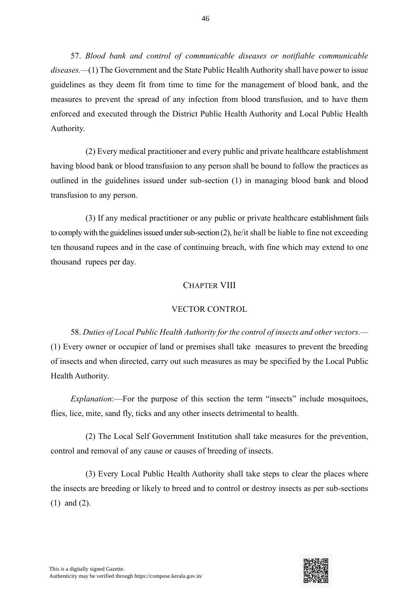57. *Blood bank and control of communicable diseases or notifiable communicable diseases.—*(1) The Government and the State Public Health Authority shall have power to issue guidelines as they deem fit from time to time for the management of blood bank, and the measures to prevent the spread of any infection from blood transfusion, and to have them enforced and executed through the District Public Health Authority and Local Public Health Authority.

(2) Every medical practitioner and every public and private healthcare establishment having blood bank or blood transfusion to any person shall be bound to follow the practices as outlined in the guidelines issued under sub-section (1) in managing blood bank and blood transfusion to any person.

(3) If any medical practitioner or any public or private healthcare establishment fails to comply with the guidelines issued under sub-section (2), he/it shall be liable to fine not exceeding ten thousand rupees and in the case of continuing breach, with fine which may extend to one thousand rupees per day.

#### CHAPTER VIII

## VECTOR CONTROL

58. *Duties of Local Public Health Authority for the control of insects and other vectors.—* (1) Every owner or occupier of land or premises shall take measures to prevent the breeding of insects and when directed, carry out such measures as may be specified by the Local Public Health Authority.

*Explanation*:—For the purpose of this section the term "insects" include mosquitoes, flies, lice, mite, sand fly, ticks and any other insects detrimental to health.

(2) The Local Self Government Institution shall take measures for the prevention, control and removal of any cause or causes of breeding of insects.

(3) Every Local Public Health Authority shall take steps to clear the places where the insects are breeding or likely to breed and to control or destroy insects as per sub-sections (1) and (2).

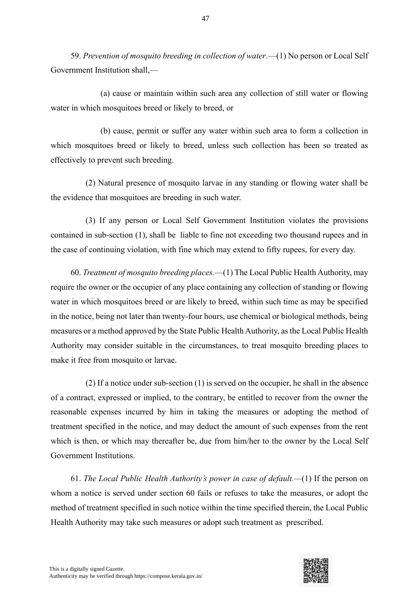59. *Prevention of mosquito breeding in collection of water*.—(1) No person or Local Self Government Institution shall,—

(a) cause or maintain within such area any collection of still water or flowing water in which mosquitoes breed or likely to breed, or

(b) cause, permit or suffer any water within such area to form a collection in which mosquitoes breed or likely to breed, unless such collection has been so treated as effectively to prevent such breeding.

(2) Natural presence of mosquito larvae in any standing or flowing water shall be the evidence that mosquitoes are breeding in such water.

(3) If any person or Local Self Government Institution violates the provisions contained in sub-section (1), shall be liable to fine not exceeding two thousand rupees and in the case of continuing violation, with fine which may extend to fifty rupees, for every day.

60. *Treatment of mosquito breeding places.*—(1) The Local Public Health Authority, may require the owner or the occupier of any place containing any collection of standing or flowing water in which mosquitoes breed or are likely to breed, within such time as may be specified in the notice, being not later than twenty-four hours, use chemical or biological methods, being measures or a method approved by the State Public Health Authority, as the Local Public Health Authority may consider suitable in the circumstances, to treat mosquito breeding places to make it free from mosquito or larvae.

(2) If a notice under sub-section (1) is served on the occupier, he shall in the absence of a contract, expressed or implied, to the contrary, be entitled to recover from the owner the reasonable expenses incurred by him in taking the measures or adopting the method of treatment specified in the notice, and may deduct the amount of such expenses from the rent which is then, or which may thereafter be, due from him/her to the owner by the Local Self Government Institutions.

61. *The Local Public Health Authority's power in case of default.—*(1) If the person on whom a notice is served under section 60 fails or refuses to take the measures, or adopt the method of treatment specified in such notice within the time specified therein, the Local Public Health Authority may take such measures or adopt such treatment as prescribed.

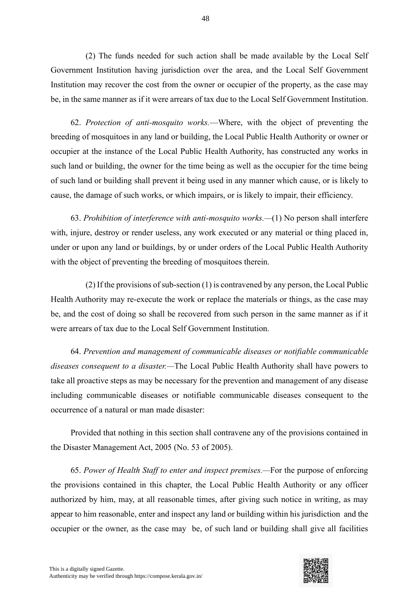(2) The funds needed for such action shall be made available by the Local Self Government Institution having jurisdiction over the area, and the Local Self Government Institution may recover the cost from the owner or occupier of the property, as the case may be, in the same manner as if it were arrears of tax due to the Local Self Government Institution.

62. *Protection of anti-mosquito works.*—Where, with the object of preventing the breeding of mosquitoes in any land or building, the Local Public Health Authority or owner or occupier at the instance of the Local Public Health Authority, has constructed any works in such land or building, the owner for the time being as well as the occupier for the time being of such land or building shall prevent it being used in any manner which cause, or is likely to cause, the damage of such works, or which impairs, or is likely to impair, their efficiency.

63. *Prohibition of interference with anti-mosquito works.—*(1) No person shall interfere with, injure, destroy or render useless, any work executed or any material or thing placed in, under or upon any land or buildings, by or under orders of the Local Public Health Authority with the object of preventing the breeding of mosquitoes therein.

(2) If the provisions of sub-section (1) is contravened by any person, the Local Public Health Authority may re-execute the work or replace the materials or things, as the case may be, and the cost of doing so shall be recovered from such person in the same manner as if it were arrears of tax due to the Local Self Government Institution.

64. *Prevention and management of communicable diseases or notifiable communicable diseases consequent to a disaster.—*The Local Public Health Authority shall have powers to take all proactive steps as may be necessary for the prevention and management of any disease including communicable diseases or notifiable communicable diseases consequent to the occurrence of a natural or man made disaster:

Provided that nothing in this section shall contravene any of the provisions contained in the Disaster Management Act, 2005 (No. 53 of 2005).

65. *Power of Health Staff to enter and inspect premises.—*For the purpose of enforcing the provisions contained in this chapter, the Local Public Health Authority or any officer authorized by him, may, at all reasonable times, after giving such notice in writing, as may appear to him reasonable, enter and inspect any land or building within his jurisdiction and the occupier or the owner, as the case may be, of such land or building shall give all facilities

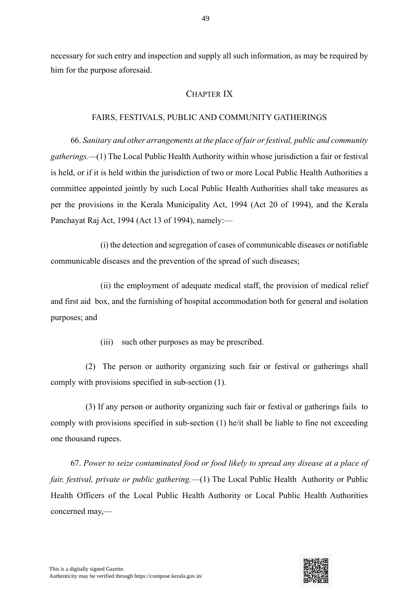necessary for such entry and inspection and supply all such information, as may be required by him for the purpose aforesaid.

# CHAPTER IX

#### FAIRS, FESTIVALS, PUBLIC AND COMMUNITY GATHERINGS

66. *Sanitary and other arrangements at the place of fair or festival, public and community gatherings.—*(1) The Local Public Health Authority within whose jurisdiction a fair or festival is held, or if it is held within the jurisdiction of two or more Local Public Health Authorities a committee appointed jointly by such Local Public Health Authorities shall take measures as per the provisions in the Kerala Municipality Act, 1994 (Act 20 of 1994), and the Kerala Panchayat Raj Act, 1994 (Act 13 of 1994), namely:—

(i) the detection and segregation of cases of communicable diseases or notifiable communicable diseases and the prevention of the spread of such diseases;

(ii) the employment of adequate medical staff, the provision of medical relief and first aid box, and the furnishing of hospital accommodation both for general and isolation purposes; and

(iii) such other purposes as may be prescribed.

(2) The person or authority organizing such fair or festival or gatherings shall comply with provisions specified in sub-section (1).

(3) If any person or authority organizing such fair or festival or gatherings fails to comply with provisions specified in sub-section (1) he/it shall be liable to fine not exceeding one thousand rupees.

67. *Power to seize contaminated food or food likely to spread any disease at a place of fair, festival, private or public gathering.*—(1) The Local Public Health Authority or Public Health Officers of the Local Public Health Authority or Local Public Health Authorities concerned may,—

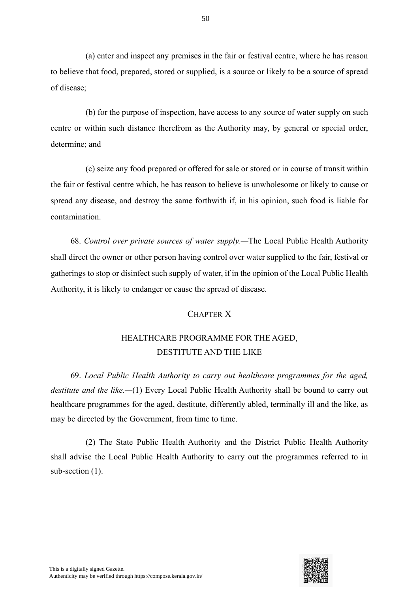(a) enter and inspect any premises in the fair or festival centre, where he has reason to believe that food, prepared, stored or supplied, is a source or likely to be a source of spread of disease;

(b) for the purpose of inspection, have access to any source of water supply on such centre or within such distance therefrom as the Authority may, by general or special order, determine; and

(c) seize any food prepared or offered for sale or stored or in course of transit within the fair or festival centre which, he has reason to believe is unwholesome or likely to cause or spread any disease, and destroy the same forthwith if, in his opinion, such food is liable for contamination.

68. *Control over private sources of water supply.—*The Local Public Health Authority shall direct the owner or other person having control over water supplied to the fair, festival or gatherings to stop or disinfect such supply of water, if in the opinion of the Local Public Health Authority, it is likely to endanger or cause the spread of disease.

#### CHAPTER X

# HEALTHCARE PROGRAMME FOR THE AGED, DESTITUTE AND THE LIKE

69. *Local Public Health Authority to carry out healthcare programmes for the aged, destitute and the like.—*(1) Every Local Public Health Authority shall be bound to carry out healthcare programmes for the aged, destitute, differently abled, terminally ill and the like, as may be directed by the Government, from time to time.

(2) The State Public Health Authority and the District Public Health Authority shall advise the Local Public Health Authority to carry out the programmes referred to in sub-section (1).



50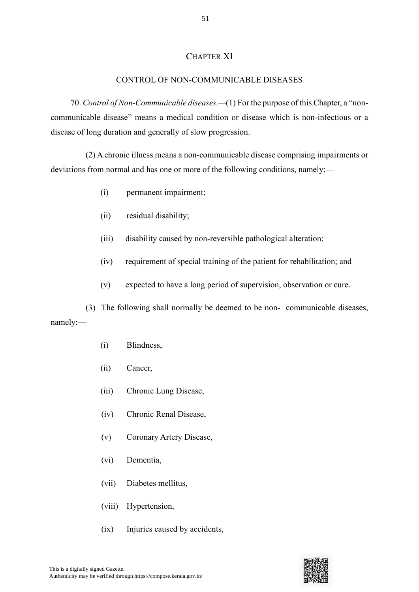#### CHAPTER XI

#### CONTROL OF NON-COMMUNICABLE DISEASES

70. *Control of Non-Communicable diseases.—*(1) For the purpose of this Chapter, a "noncommunicable disease" means a medical condition or disease which is non-infectious or a disease of long duration and generally of slow progression.

(2) A chronic illness means a non-communicable disease comprising impairments or deviations from normal and has one or more of the following conditions, namely:—

- (i) permanent impairment;
- (ii) residual disability;
- (iii) disability caused by non-reversible pathological alteration;
- (iv) requirement of special training of the patient for rehabilitation; and
- (v) expected to have a long period of supervision, observation or cure.

(3) The following shall normally be deemed to be non- communicable diseases, namely:—

- (i) Blindness,
- (ii) Cancer,
- (iii) Chronic Lung Disease,
- (iv) Chronic Renal Disease,
- (v) Coronary Artery Disease,
- (vi) Dementia,
- (vii) Diabetes mellitus,
- (viii) Hypertension,
- (ix) Injuries caused by accidents,

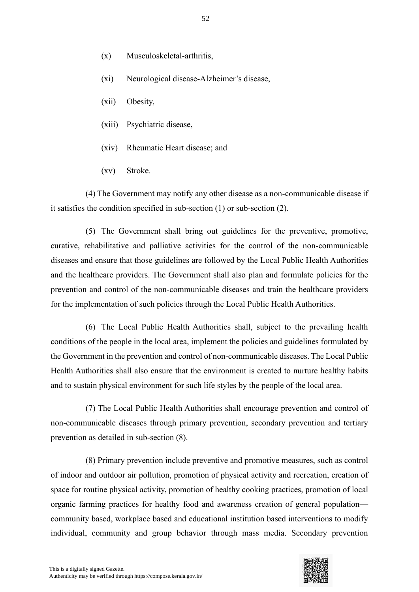- (x) Musculoskeletal-arthritis,
- (xi) Neurological disease-Alzheimer's disease,
- (xii) Obesity,
- (xiii) Psychiatric disease,
- (xiv) Rheumatic Heart disease; and
- (xv) Stroke.

(4) The Government may notify any other disease as a non-communicable disease if it satisfies the condition specified in sub-section (1) or sub-section (2).

(5) The Government shall bring out guidelines for the preventive, promotive, curative, rehabilitative and palliative activities for the control of the non-communicable diseases and ensure that those guidelines are followed by the Local Public Health Authorities and the healthcare providers. The Government shall also plan and formulate policies for the prevention and control of the non-communicable diseases and train the healthcare providers for the implementation of such policies through the Local Public Health Authorities.

(6) The Local Public Health Authorities shall, subject to the prevailing health conditions of the people in the local area, implement the policies and guidelines formulated by the Government in the prevention and control of non-communicable diseases. The Local Public Health Authorities shall also ensure that the environment is created to nurture healthy habits and to sustain physical environment for such life styles by the people of the local area.

(7) The Local Public Health Authorities shall encourage prevention and control of non-communicable diseases through primary prevention, secondary prevention and tertiary prevention as detailed in sub-section (8).

(8) Primary prevention include preventive and promotive measures, such as control of indoor and outdoor air pollution, promotion of physical activity and recreation, creation of space for routine physical activity, promotion of healthy cooking practices, promotion of local organic farming practices for healthy food and awareness creation of general population community based, workplace based and educational institution based interventions to modify individual, community and group behavior through mass media. Secondary prevention

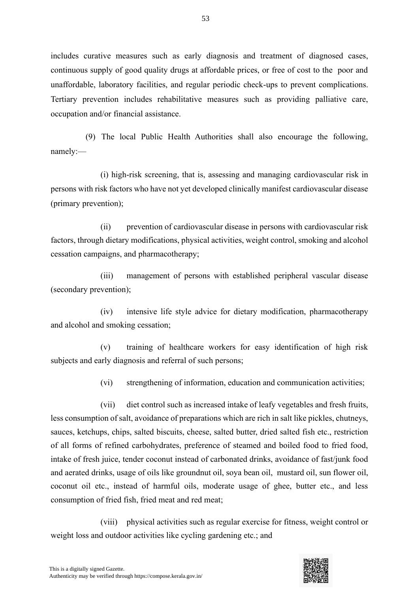includes curative measures such as early diagnosis and treatment of diagnosed cases, continuous supply of good quality drugs at affordable prices, or free of cost to the poor and unaffordable, laboratory facilities, and regular periodic check-ups to prevent complications. Tertiary prevention includes rehabilitative measures such as providing palliative care, occupation and/or financial assistance.

(9) The local Public Health Authorities shall also encourage the following, namely:—

(i) high-risk screening, that is, assessing and managing cardiovascular risk in persons with risk factors who have not yet developed clinically manifest cardiovascular disease (primary prevention);

(ii) prevention of cardiovascular disease in persons with cardiovascular risk factors, through dietary modifications, physical activities, weight control, smoking and alcohol cessation campaigns, and pharmacotherapy;

(iii) management of persons with established peripheral vascular disease (secondary prevention);

(iv) intensive life style advice for dietary modification, pharmacotherapy and alcohol and smoking cessation;

(v) training of healthcare workers for easy identification of high risk subjects and early diagnosis and referral of such persons;

(vi) strengthening of information, education and communication activities;

(vii) diet control such as increased intake of leafy vegetables and fresh fruits, less consumption of salt, avoidance of preparations which are rich in salt like pickles, chutneys, sauces, ketchups, chips, salted biscuits, cheese, salted butter, dried salted fish etc., restriction of all forms of refined carbohydrates, preference of steamed and boiled food to fried food, intake of fresh juice, tender coconut instead of carbonated drinks, avoidance of fast/junk food and aerated drinks, usage of oils like groundnut oil, soya bean oil, mustard oil, sun flower oil, coconut oil etc., instead of harmful oils, moderate usage of ghee, butter etc., and less consumption of fried fish, fried meat and red meat;

(viii) physical activities such as regular exercise for fitness, weight control or weight loss and outdoor activities like cycling gardening etc.; and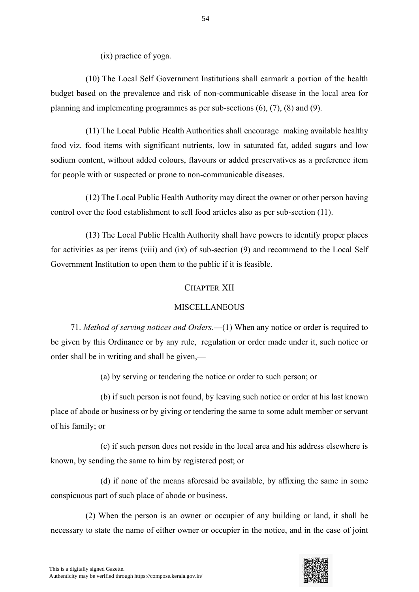(ix) practice of yoga.

(10) The Local Self Government Institutions shall earmark a portion of the health budget based on the prevalence and risk of non-communicable disease in the local area for planning and implementing programmes as per sub-sections (6), (7), (8) and (9).

(11) The Local Public Health Authorities shall encourage making available healthy food viz. food items with significant nutrients, low in saturated fat, added sugars and low sodium content, without added colours, flavours or added preservatives as a preference item for people with or suspected or prone to non-communicable diseases.

(12) The Local Public Health Authority may direct the owner or other person having control over the food establishment to sell food articles also as per sub-section (11).

(13) The Local Public Health Authority shall have powers to identify proper places for activities as per items (viii) and (ix) of sub-section (9) and recommend to the Local Self Government Institution to open them to the public if it is feasible.

## CHAPTER XII

#### MISCELLANEOUS

71. *Method of serving notices and Orders.*—(1) When any notice or order is required to be given by this Ordinance or by any rule, regulation or order made under it, such notice or order shall be in writing and shall be given,—

(a) by serving or tendering the notice or order to such person; or

(b) if such person is not found, by leaving such notice or order at his last known place of abode or business or by giving or tendering the same to some adult member or servant of his family; or

(c) if such person does not reside in the local area and his address elsewhere is known, by sending the same to him by registered post; or

(d) if none of the means aforesaid be available, by affixing the same in some conspicuous part of such place of abode or business.

(2) When the person is an owner or occupier of any building or land, it shall be necessary to state the name of either owner or occupier in the notice, and in the case of joint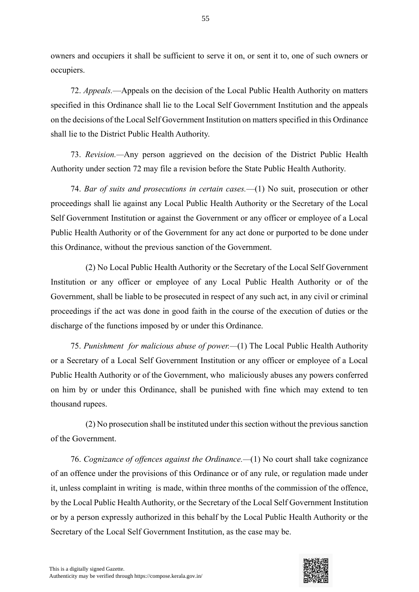owners and occupiers it shall be sufficient to serve it on, or sent it to, one of such owners or occupiers.

72. *Appeals.*—Appeals on the decision of the Local Public Health Authority on matters specified in this Ordinance shall lie to the Local Self Government Institution and the appeals on the decisions of the Local Self Government Institution on matters specified in this Ordinance shall lie to the District Public Health Authority.

73. *Revision.—*Any person aggrieved on the decision of the District Public Health Authority under section 72 may file a revision before the State Public Health Authority.

74. *Bar of suits and prosecutions in certain cases.*—(1) No suit, prosecution or other proceedings shall lie against any Local Public Health Authority or the Secretary of the Local Self Government Institution or against the Government or any officer or employee of a Local Public Health Authority or of the Government for any act done or purported to be done under this Ordinance, without the previous sanction of the Government.

(2) No Local Public Health Authority or the Secretary of the Local Self Government Institution or any officer or employee of any Local Public Health Authority or of the Government, shall be liable to be prosecuted in respect of any such act, in any civil or criminal proceedings if the act was done in good faith in the course of the execution of duties or the discharge of the functions imposed by or under this Ordinance.

75. *Punishment for malicious abuse of power.—*(1) The Local Public Health Authority or a Secretary of a Local Self Government Institution or any officer or employee of a Local Public Health Authority or of the Government, who maliciously abuses any powers conferred on him by or under this Ordinance, shall be punished with fine which may extend to ten thousand rupees.

(2) No prosecution shall be instituted under this section without the previous sanction of the Government.

76. *Cognizance of offences against the Ordinance.—*(1) No court shall take cognizance of an offence under the provisions of this Ordinance or of any rule, or regulation made under it, unless complaint in writing is made, within three months of the commission of the offence, by the Local Public Health Authority, or the Secretary of the Local Self Government Institution or by a person expressly authorized in this behalf by the Local Public Health Authority or the Secretary of the Local Self Government Institution, as the case may be.

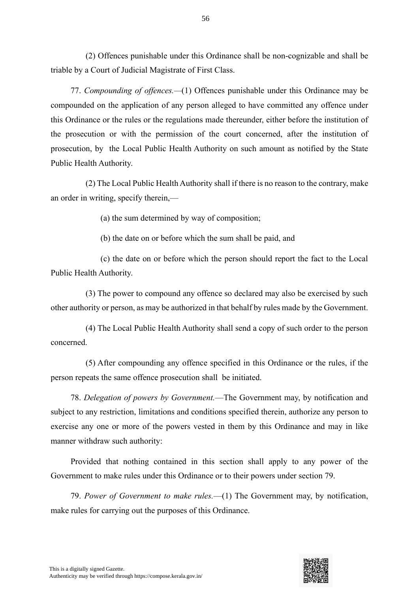(2) Offences punishable under this Ordinance shall be non-cognizable and shall be triable by a Court of Judicial Magistrate of First Class.

77. *Compounding of offences.—*(1) Offences punishable under this Ordinance may be compounded on the application of any person alleged to have committed any offence under this Ordinance or the rules or the regulations made thereunder, either before the institution of the prosecution or with the permission of the court concerned, after the institution of prosecution, by the Local Public Health Authority on such amount as notified by the State Public Health Authority.

(2) The Local Public Health Authority shall if there is no reason to the contrary, make an order in writing, specify therein,—

(a) the sum determined by way of composition;

(b) the date on or before which the sum shall be paid, and

(c) the date on or before which the person should report the fact to the Local Public Health Authority.

(3) The power to compound any offence so declared may also be exercised by such other authority or person, as may be authorized in that behalf by rules made by the Government.

(4) The Local Public Health Authority shall send a copy of such order to the person concerned.

(5) After compounding any offence specified in this Ordinance or the rules, if the person repeats the same offence prosecution shall be initiated.

78. *Delegation of powers by Government.*—The Government may, by notification and subject to any restriction, limitations and conditions specified therein, authorize any person to exercise any one or more of the powers vested in them by this Ordinance and may in like manner withdraw such authority:

Provided that nothing contained in this section shall apply to any power of the Government to make rules under this Ordinance or to their powers under section 79.

79. *Power of Government to make rules.*—(1) The Government may, by notification, make rules for carrying out the purposes of this Ordinance.

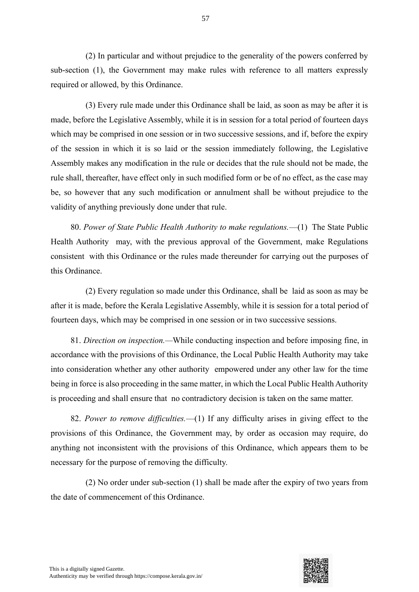(2) In particular and without prejudice to the generality of the powers conferred by sub-section (1), the Government may make rules with reference to all matters expressly required or allowed, by this Ordinance.

(3) Every rule made under this Ordinance shall be laid, as soon as may be after it is made, before the Legislative Assembly, while it is in session for a total period of fourteen days which may be comprised in one session or in two successive sessions, and if, before the expiry of the session in which it is so laid or the session immediately following, the Legislative Assembly makes any modification in the rule or decides that the rule should not be made, the rule shall, thereafter, have effect only in such modified form or be of no effect, as the case may be, so however that any such modification or annulment shall be without prejudice to the validity of anything previously done under that rule.

80. *Power of State Public Health Authority to make regulations.*—(1) The State Public Health Authority may, with the previous approval of the Government, make Regulations consistent with this Ordinance or the rules made thereunder for carrying out the purposes of this Ordinance.

(2) Every regulation so made under this Ordinance, shall be laid as soon as may be after it is made, before the Kerala Legislative Assembly, while it is session for a total period of fourteen days, which may be comprised in one session or in two successive sessions.

81. *Direction on inspection.—*While conducting inspection and before imposing fine, in accordance with the provisions of this Ordinance, the Local Public Health Authority may take into consideration whether any other authority empowered under any other law for the time being in force is also proceeding in the same matter, in which the Local Public Health Authority is proceeding and shall ensure that no contradictory decision is taken on the same matter.

82. *Power to remove difficulties.*—(1) If any difficulty arises in giving effect to the provisions of this Ordinance, the Government may, by order as occasion may require, do anything not inconsistent with the provisions of this Ordinance, which appears them to be necessary for the purpose of removing the difficulty.

(2) No order under sub-section (1) shall be made after the expiry of two years from the date of commencement of this Ordinance.